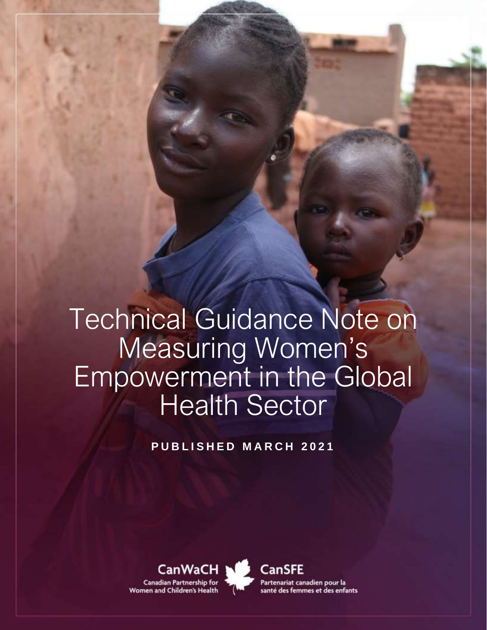# Technical Guidance Note on Measuring Women's Empowerment in the Global Health Sector

**P U B L I S H E D M A R C H 2 0 2 1**

CanWaCH N Canadian Partnership for Women and Children's Health



**CanSFE** Partenariat canadien pour la santé des femmes et des enfants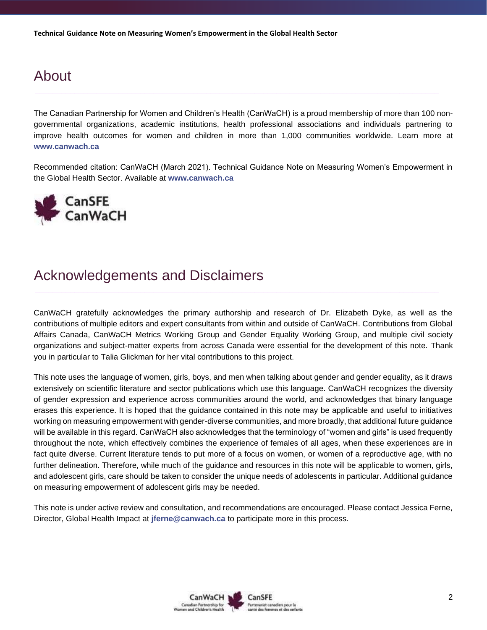# About

The Canadian Partnership for Women and Children's Health (CanWaCH) is a proud membership of more than 100 nongovernmental organizations, academic institutions, health professional associations and individuals partnering to improve health outcomes for women and children in more than 1,000 communities worldwide. Learn more at **[www.canwach.ca](http://www.canwach.ca/)**

Recommended citation: CanWaCH (March 2021). Technical Guidance Note on Measuring Women's Empowerment in the Global Health Sector. Available at **[www.canwach.ca](http://www.canwach.ca/)**



## Acknowledgements and Disclaimers

CanWaCH gratefully acknowledges the primary authorship and research of Dr. Elizabeth Dyke, as well as the contributions of multiple editors and expert consultants from within and outside of CanWaCH. Contributions from Global Affairs Canada, CanWaCH Metrics Working Group and Gender Equality Working Group, and multiple civil society organizations and subject-matter experts from across Canada were essential for the development of this note. Thank you in particular to Talia Glickman for her vital contributions to this project.

This note uses the language of women, girls, boys, and men when talking about gender and gender equality, as it draws extensively on scientific literature and sector publications which use this language. CanWaCH recognizes the diversity of gender expression and experience across communities around the world, and acknowledges that binary language erases this experience. It is hoped that the guidance contained in this note may be applicable and useful to initiatives working on measuring empowerment with gender-diverse communities, and more broadly, that additional future guidance will be available in this regard. CanWaCH also acknowledges that the terminology of "women and girls" is used frequently throughout the note, which effectively combines the experience of females of all ages, when these experiences are in fact quite diverse. Current literature tends to put more of a focus on women, or women of a reproductive age, with no further delineation. Therefore, while much of the guidance and resources in this note will be applicable to women, girls, and adolescent girls, care should be taken to consider the unique needs of adolescents in particular. Additional guidance on measuring empowerment of adolescent girls may be needed.

This note is under active review and consultation, and recommendations are encouraged. Please contact Jessica Ferne, Director, Global Health Impact at **[jferne@canwach.ca](mailto:jferne@canwach.ca)** to participate more in this process.

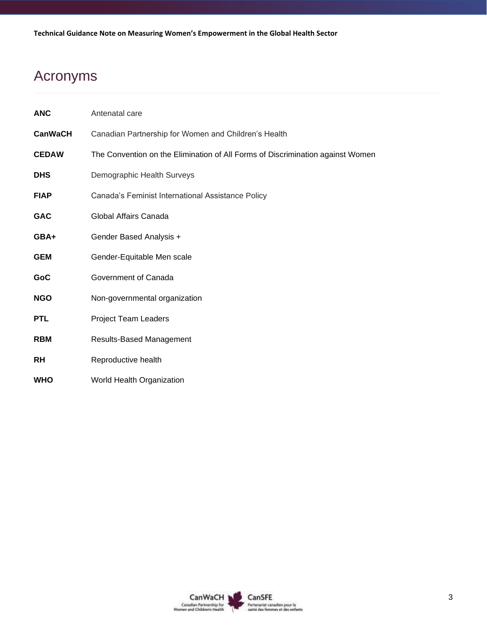# Acronyms

| <b>ANC</b>     | Antenatal care                                                                 |  |  |
|----------------|--------------------------------------------------------------------------------|--|--|
| <b>CanWaCH</b> | Canadian Partnership for Women and Children's Health                           |  |  |
| <b>CEDAW</b>   | The Convention on the Elimination of All Forms of Discrimination against Women |  |  |
| <b>DHS</b>     | Demographic Health Surveys                                                     |  |  |
| <b>FIAP</b>    | Canada's Feminist International Assistance Policy                              |  |  |
| <b>GAC</b>     | Global Affairs Canada                                                          |  |  |
| GBA+           | Gender Based Analysis +                                                        |  |  |
| <b>GEM</b>     | Gender-Equitable Men scale                                                     |  |  |
| GoC            | Government of Canada                                                           |  |  |
| <b>NGO</b>     | Non-governmental organization                                                  |  |  |
| <b>PTL</b>     | <b>Project Team Leaders</b>                                                    |  |  |
| <b>RBM</b>     | <b>Results-Based Management</b>                                                |  |  |
| RH             | Reproductive health                                                            |  |  |
| <b>WHO</b>     | World Health Organization                                                      |  |  |

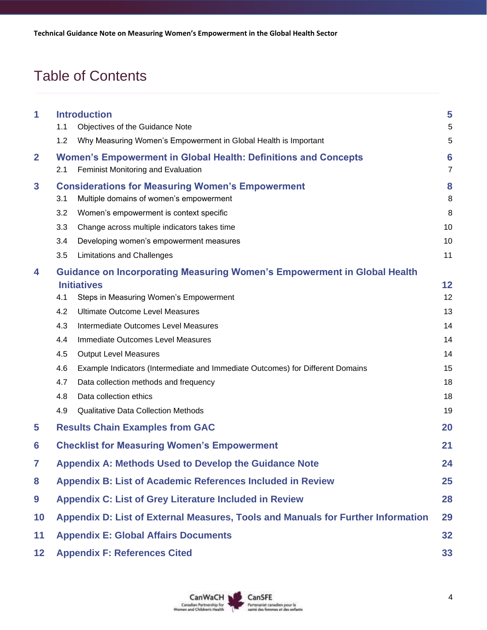# Table of Contents

| 1                | 1.1                                                                                    | <b>Introduction</b><br>Objectives of the Guidance Note                                                      | 5<br>5              |  |  |
|------------------|----------------------------------------------------------------------------------------|-------------------------------------------------------------------------------------------------------------|---------------------|--|--|
|                  | 1.2                                                                                    | Why Measuring Women's Empowerment in Global Health is Important                                             | 5                   |  |  |
| $\overline{2}$   | 2.1                                                                                    | <b>Women's Empowerment in Global Health: Definitions and Concepts</b><br>Feminist Monitoring and Evaluation | 6<br>$\overline{7}$ |  |  |
| $\mathbf{3}$     | 3.1                                                                                    | <b>Considerations for Measuring Women's Empowerment</b><br>Multiple domains of women's empowerment          | 8<br>8              |  |  |
|                  | 3.2                                                                                    | Women's empowerment is context specific                                                                     | 8                   |  |  |
|                  | 3.3                                                                                    | Change across multiple indicators takes time                                                                | 10                  |  |  |
|                  | 3.4                                                                                    | Developing women's empowerment measures                                                                     | 10                  |  |  |
|                  | 3.5                                                                                    | <b>Limitations and Challenges</b>                                                                           | 11                  |  |  |
| 4                |                                                                                        | <b>Guidance on Incorporating Measuring Women's Empowerment in Global Health</b>                             |                     |  |  |
|                  |                                                                                        | <b>Initiatives</b>                                                                                          | 12                  |  |  |
|                  | 4.1                                                                                    | Steps in Measuring Women's Empowerment                                                                      | 12                  |  |  |
|                  | 4.2                                                                                    | <b>Ultimate Outcome Level Measures</b>                                                                      | 13                  |  |  |
|                  | 4.3                                                                                    | Intermediate Outcomes Level Measures                                                                        | 14                  |  |  |
|                  | 4.4                                                                                    | Immediate Outcomes Level Measures                                                                           | 14                  |  |  |
|                  | 4.5                                                                                    | <b>Output Level Measures</b>                                                                                | 14                  |  |  |
|                  | 4.6                                                                                    | Example Indicators (Intermediate and Immediate Outcomes) for Different Domains                              | 15                  |  |  |
|                  | 4.7                                                                                    | Data collection methods and frequency                                                                       | 18                  |  |  |
|                  | 4.8                                                                                    | Data collection ethics                                                                                      | 18                  |  |  |
|                  | 4.9                                                                                    | <b>Qualitative Data Collection Methods</b>                                                                  | 19                  |  |  |
| 5                |                                                                                        | <b>Results Chain Examples from GAC</b>                                                                      | 20                  |  |  |
| 6                | <b>Checklist for Measuring Women's Empowerment</b><br>21                               |                                                                                                             |                     |  |  |
| 7                | <b>Appendix A: Methods Used to Develop the Guidance Note</b><br>24                     |                                                                                                             |                     |  |  |
| 8                | <b>Appendix B: List of Academic References Included in Review</b><br>25                |                                                                                                             |                     |  |  |
| $\boldsymbol{9}$ | <b>Appendix C: List of Grey Literature Included in Review</b><br>28                    |                                                                                                             |                     |  |  |
| 10               | Appendix D: List of External Measures, Tools and Manuals for Further Information<br>29 |                                                                                                             |                     |  |  |
| 11               | <b>Appendix E: Global Affairs Documents</b><br>32                                      |                                                                                                             |                     |  |  |
| 12               | <b>Appendix F: References Cited</b><br>33                                              |                                                                                                             |                     |  |  |

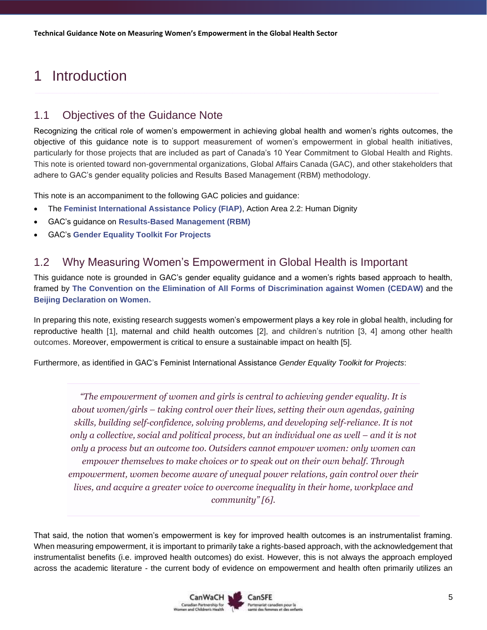# <span id="page-4-0"></span>1 Introduction

### <span id="page-4-1"></span>1.1 Objectives of the Guidance Note

Recognizing the critical role of women's empowerment in achieving global health and women's rights outcomes, the objective of this guidance note is to support measurement of women's empowerment in global health initiatives, particularly for those projects that are included as part of Canada's 10 Year Commitment to Global Health and Rights. This note is oriented toward non-governmental organizations, Global Affairs Canada (GAC), and other stakeholders that adhere to GAC's gender equality policies and Results Based Management (RBM) methodology.

This note is an accompaniment to the following GAC policies and guidance:

- The **[Feminist International Assistance Policy \(FIAP\)](https://www.international.gc.ca/world-monde/issues_development-enjeux_developpement/priorities-priorites/policy-politique.aspx?lang=eng)**, Action Area 2.2: Human Dignity
- GAC's guidance on **[Results-Based Management \(RBM\)](https://www.international.gc.ca/world-monde/funding-financement/results_based_management-gestion_axee_resultats.aspx?lang=eng)**
- GAC's **[Gender Equality Toolkit For Projects](https://www.international.gc.ca/world-monde/funding-financement/gender_equality_toolkit-trousse_outils_egalite_genres.aspx?lang=eng)**

### <span id="page-4-2"></span>1.2 Why Measuring Women's Empowerment in Global Health is Important

This guidance note is grounded in GAC's gender equality guidance and a women's rights based approach to health, framed by **The Convention on [the Elimination of All Forms of Discrimination against Women](https://www.ohchr.org/en/professionalinterest/pages/cedaw.aspx) (CEDAW)** and the **[Beijing Declaration on Women.](https://www.unwomen.org/en/how-we-work/intergovernmental-support/world-conferences-on-women)** 

In preparing this note, existing research suggests women's empowerment plays a key role in global health, including for reproductive health [1], maternal and child health outcomes [2], and children's nutrition [3, 4] among other health outcomes. Moreover, empowerment is critical to ensure a sustainable impact on health [5].

Furthermore, as identified in GAC's Feminist International Assistance *Gender Equality Toolkit for Projects*:

*"The empowerment of women and girls is central to achieving gender equality. It is about women/girls – taking control over their lives, setting their own agendas, gaining skills, building self-confidence, solving problems, and developing self-reliance. It is not only a collective, social and political process, but an individual one as well – and it is not only a process but an outcome too. Outsiders cannot empower women: only women can empower themselves to make choices or to speak out on their own behalf. Through empowerment, women become aware of unequal power relations, gain control over their lives, and acquire a greater voice to overcome inequality in their home, workplace and community" [6].*

That said, the notion that women's empowerment is key for improved health outcomes is an instrumentalist framing. When measuring empowerment, it is important to primarily take a rights-based approach, with the acknowledgement that instrumentalist benefits (i.e. improved health outcomes) do exist. However, this is not always the approach employed across the academic literature - the current body of evidence on empowerment and health often primarily utilizes an

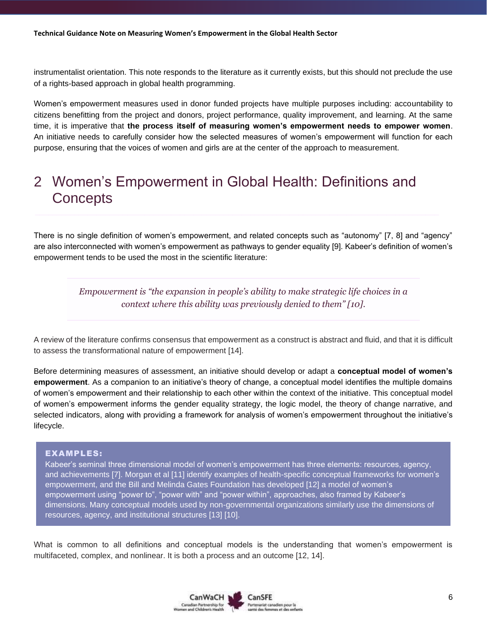instrumentalist orientation. This note responds to the literature as it currently exists, but this should not preclude the use of a rights-based approach in global health programming.

Women's empowerment measures used in donor funded projects have multiple purposes including: accountability to citizens benefitting from the project and donors, project performance, quality improvement, and learning. At the same time, it is imperative that **the process itself of measuring women's empowerment needs to empower women**. An initiative needs to carefully consider how the selected measures of women's empowerment will function for each purpose, ensuring that the voices of women and girls are at the center of the approach to measurement.

# <span id="page-5-0"></span>2 Women's Empowerment in Global Health: Definitions and **Concepts**

There is no single definition of women's empowerment, and related concepts such as "autonomy" [7, 8] and "agency" are also interconnected with women's empowerment as pathways to gender equality [9]. Kabeer's definition of women's empowerment tends to be used the most in the scientific literature:

> *Empowerment is "the expansion in people's ability to make strategic life choices in a context where this ability was previously denied to them" [10].*

A review of the literature confirms consensus that empowerment as a construct is abstract and fluid, and that it is difficult to assess the transformational nature of empowerment [14].

Before determining measures of assessment, an initiative should develop or adapt a **conceptual model of women's empowerment**. As a companion to an initiative's theory of change, a conceptual model identifies the multiple domains of women's empowerment and their relationship to each other within the context of the initiative. This conceptual model of women's empowerment informs the gender equality strategy, the logic model, the theory of change narrative, and selected indicators, along with providing a framework for analysis of women's empowerment throughout the initiative's lifecycle.

#### EXAMPLES:

Kabeer's seminal three dimensional model of women's empowerment has three elements: resources, agency, and achievements [7]. Morgan et al [11] identify examples of health-specific conceptual frameworks for women's empowerment, and the Bill and Melinda Gates Foundation has developed [12] a model of women's empowerment using "power to", "power with" and "power within", approaches, also framed by Kabeer's dimensions. Many conceptual models used by non-governmental organizations similarly use the dimensions of resources, agency, and institutional structures [13] [10].

What is common to all definitions and conceptual models is the understanding that women's empowerment is multifaceted, complex, and nonlinear. It is both a process and an outcome [12, 14].

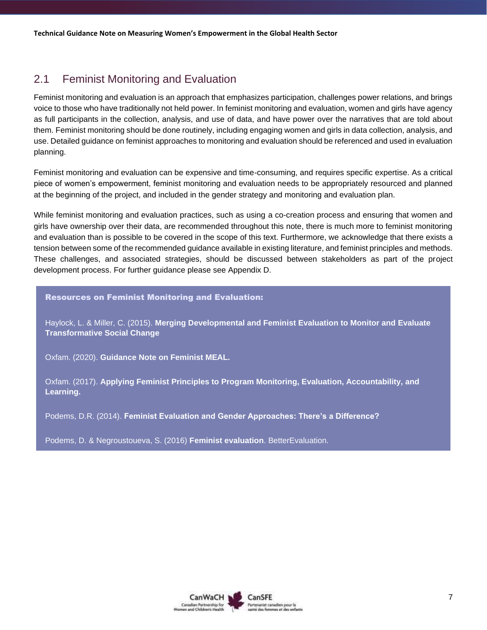### <span id="page-6-0"></span>2.1 Feminist Monitoring and Evaluation

Feminist monitoring and evaluation is an approach that emphasizes participation, challenges power relations, and brings voice to those who have traditionally not held power. In feminist monitoring and evaluation, women and girls have agency as full participants in the collection, analysis, and use of data, and have power over the narratives that are told about them. Feminist monitoring should be done routinely, including engaging women and girls in data collection, analysis, and use. Detailed guidance on feminist approaches to monitoring and evaluation should be referenced and used in evaluation planning.

Feminist monitoring and evaluation can be expensive and time-consuming, and requires specific expertise. As a critical piece of women's empowerment, feminist monitoring and evaluation needs to be appropriately resourced and planned at the beginning of the project, and included in the gender strategy and monitoring and evaluation plan.

While feminist monitoring and evaluation practices, such as using a co-creation process and ensuring that women and girls have ownership over their data, are recommended throughout this note, there is much more to feminist monitoring and evaluation than is possible to be covered in the scope of this text. Furthermore, we acknowledge that there exists a tension between some of the recommended guidance available in existing literature, and feminist principles and methods. These challenges, and associated strategies, should be discussed between stakeholders as part of the project development process. For further guidance please see Appendix D.

#### Resources on Feminist Monitoring and Evaluation:

Haylock, L. & Miller, C. (2015). **[Merging Developmental and Feminist Evaluation to Monitor and Evaluate](https://d.docs.live.net/67cc04b60e72fbde/Desktop/.%20https:/journals.sagepub.com/doi/abs/10.1177/1098214015578731)  [Transformative Social Change](https://d.docs.live.net/67cc04b60e72fbde/Desktop/.%20https:/journals.sagepub.com/doi/abs/10.1177/1098214015578731)**

Oxfam. (2020). **[Guidance Note on Feminist MEAL.](https://www.oxfam.ca/publication/guidance-note-on-feminist-meal/#:~:text=Feminist%20Monitoring%2C%20Evaluation%2C%20Accountability%20and,relations%20is%20complex%20and%20nonlinear)**

Oxfam. (2017). **[Applying Feminist Principles to Program Monitoring, Evaluation, Accountability, and](https://oxfamilibrary.openrepository.com/bitstream/handle/10546/620318/dp-feminist-principles-meal-260717-en.pdf;jsessionid=CF5981183A3305F8BADC2A1F1565A2BA?sequence=4)  [Learning.](https://oxfamilibrary.openrepository.com/bitstream/handle/10546/620318/dp-feminist-principles-meal-260717-en.pdf;jsessionid=CF5981183A3305F8BADC2A1F1565A2BA?sequence=4)**

Podems, D.R. (2014). **[Feminist Evaluation and Gender Approaches: There's a Difference?](https://www.betterevaluation.org/en/resources/discussion_paper/feminist_eval_gender_approaches)** 

Podems, D. & Negroustoueva, S. (2016) **[Feminist evaluation](https://www.betterevaluation.org/en/themes/feminist_evaluation)**. BetterEvaluation.

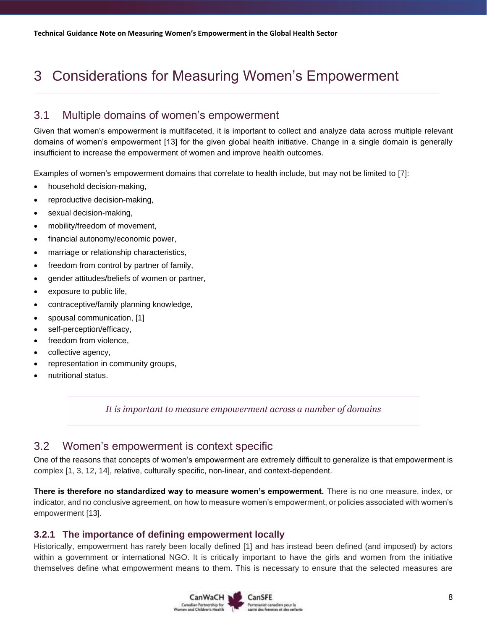# <span id="page-7-0"></span>3 Considerations for Measuring Women's Empowerment

### <span id="page-7-1"></span>3.1 Multiple domains of women's empowerment

Given that women's empowerment is multifaceted, it is important to collect and analyze data across multiple relevant domains of women's empowerment [13] for the given global health initiative. Change in a single domain is generally insufficient to increase the empowerment of women and improve health outcomes.

Examples of women's empowerment domains that correlate to health include, but may not be limited to [7]:

- household decision-making,
- reproductive decision-making,
- sexual decision-making,
- mobility/freedom of movement,
- financial autonomy/economic power,
- marriage or relationship characteristics,
- freedom from control by partner of family,
- gender attitudes/beliefs of women or partner,
- exposure to public life,
- contraceptive/family planning knowledge,
- spousal communication, [1]
- self-perception/efficacy,
- freedom from violence,
- collective agency,
- representation in community groups,
- nutritional status.

*It is important to measure empowerment across a number of domains*

### <span id="page-7-2"></span>3.2 Women's empowerment is context specific

One of the reasons that concepts of women's empowerment are extremely difficult to generalize is that empowerment is complex [1, 3, 12, 14], relative, culturally specific, non-linear, and context-dependent.

**There is therefore no standardized way to measure women's empowerment.** There is no one measure, index, or indicator, and no conclusive agreement, on how to measure women's empowerment, or policies associated with women's empowerment [13].

#### **3.2.1 The importance of defining empowerment locally**

Historically, empowerment has rarely been locally defined [1] and has instead been defined (and imposed) by actors within a government or international NGO. It is critically important to have the girls and women from the initiative themselves define what empowerment means to them. This is necessary to ensure that the selected measures are

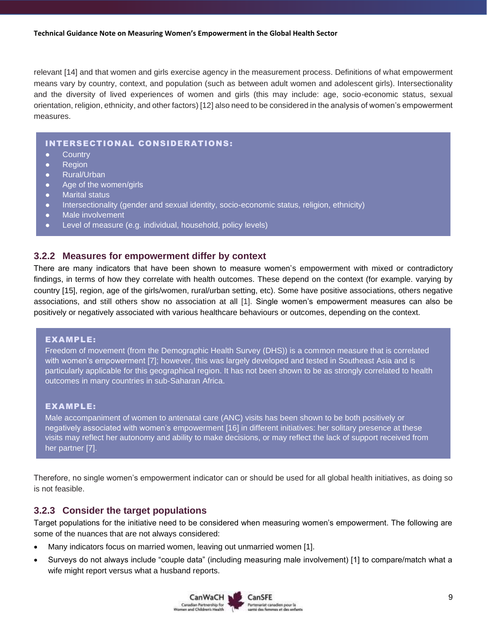relevant [14] and that women and girls exercise agency in the measurement process. Definitions of what empowerment means vary by country, context, and population (such as between adult women and adolescent girls). Intersectionality and the diversity of lived experiences of women and girls (this may include: age, socio-economic status, sexual orientation, religion, ethnicity, and other factors) [12] also need to be considered in the analysis of women's empowerment measures.

#### INTERSECTIONAL CONSIDERATIONS:

- Country
- Region
- Rural/Urban
- Age of the women/girls
- Marital status
- Intersectionality (gender and sexual identity, socio-economic status, religion, ethnicity)
- Male involvement
- Level of measure (e.g. individual, household, policy levels)

#### **3.2.2 Measures for empowerment differ by context**

There are many indicators that have been shown to measure women's empowerment with mixed or contradictory findings, in terms of how they correlate with health outcomes. These depend on the context (for example. varying by country [15], region, age of the girls/women, rural/urban setting, etc). Some have positive associations, others negative associations, and still others show no association at all [1]. Single women's empowerment measures can also be positively or negatively associated with various healthcare behaviours or outcomes, depending on the context.

#### EXAMPLE:

Freedom of movement (from the Demographic Health Survey (DHS)) is a common measure that is correlated with women's empowerment [7]; however, this was largely developed and tested in Southeast Asia and is particularly applicable for this geographical region. It has not been shown to be as strongly correlated to health outcomes in many countries in sub-Saharan Africa.

#### EXAMPLE:

Male accompaniment of women to antenatal care (ANC) visits has been shown to be both positively or negatively associated with women's empowerment [16] in different initiatives: her solitary presence at these visits may reflect her autonomy and ability to make decisions, or may reflect the lack of support received from her partner [7].

Therefore, no single women's empowerment indicator can or should be used for all global health initiatives, as doing so is not feasible.

#### **3.2.3 Consider the target populations**

Target populations for the initiative need to be considered when measuring women's empowerment. The following are some of the nuances that are not always considered:

- Many indicators focus on married women, leaving out unmarried women [1].
- Surveys do not always include "couple data" (including measuring male involvement) [1] to compare/match what a wife might report versus what a husband reports.

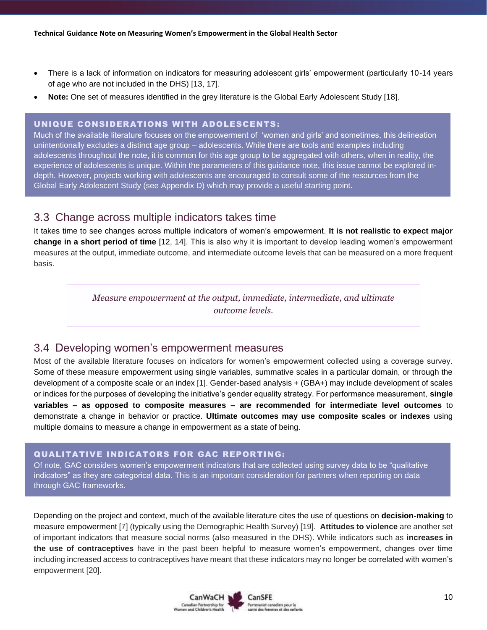- There is a lack of information on indicators for measuring adolescent girls' empowerment (particularly 10-14 years of age who are not included in the DHS) [13, 17].
- **Note:** One set of measures identified in the grey literature is the Global Early Adolescent Study [18].

#### UNIQUE CONSIDERATIONS WITH ADOLESCENTS :

Much of the available literature focuses on the empowerment of 'women and girls' and sometimes, this delineation unintentionally excludes a distinct age group – adolescents. While there are tools and examples including adolescents throughout the note, it is common for this age group to be aggregated with others, when in reality, the experience of adolescents is unique. Within the parameters of this guidance note, this issue cannot be explored indepth. However, projects working with adolescents are encouraged to consult some of the resources from the Global Early Adolescent Study (see Appendix D) which may provide a useful starting point.

### <span id="page-9-0"></span>3.3 Change across multiple indicators takes time

It takes time to see changes across multiple indicators of women's empowerment. **It is not realistic to expect major change in a short period of time** [12, 14]. This is also why it is important to develop leading women's empowerment measures at the output, immediate outcome, and intermediate outcome levels that can be measured on a more frequent basis.

> *Measure empowerment at the output, immediate, intermediate, and ultimate outcome levels.*

### <span id="page-9-1"></span>3.4 Developing women's empowerment measures

Most of the available literature focuses on indicators for women's empowerment collected using a coverage survey. Some of these measure empowerment using single variables, summative scales in a particular domain, or through the development of a composite scale or an index [1]. Gender-based analysis + (GBA+) may include development of scales or indices for the purposes of developing the initiative's gender equality strategy. For performance measurement, **single variables – as opposed to composite measures – are recommended for intermediate level outcomes** to demonstrate a change in behavior or practice. **Ultimate outcomes may use composite scales or indexes** using multiple domains to measure a change in empowerment as a state of being.

#### QUALITATIVE INDICATORS FOR GAC REPORTING:

Of note, GAC considers women's empowerment indicators that are collected using survey data to be "qualitative indicators" as they are categorical data. This is an important consideration for partners when reporting on data through GAC frameworks.

Depending on the project and context, much of the available literature cites the use of questions on **decision-making** to measure empowerment [7] (typically using the Demographic Health Survey) [19]. **Attitudes to violence** are another set of important indicators that measure social norms (also measured in the DHS). While indicators such as **increases in the use of contraceptives** have in the past been helpful to measure women's empowerment, changes over time including increased access to contraceptives have meant that these indicators may no longer be correlated with women's empowerment [20].

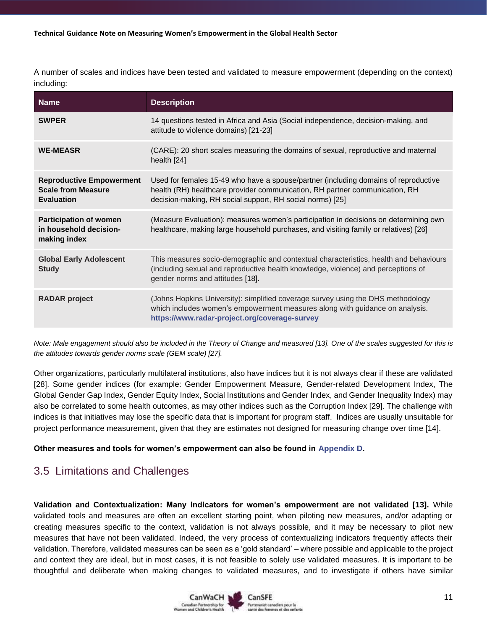A number of scales and indices have been tested and validated to measure empowerment (depending on the context) including:

| <b>Name</b>                                                                       | <b>Description</b>                                                                                                                                                                                                              |
|-----------------------------------------------------------------------------------|---------------------------------------------------------------------------------------------------------------------------------------------------------------------------------------------------------------------------------|
| <b>SWPER</b>                                                                      | 14 questions tested in Africa and Asia (Social independence, decision-making, and<br>attitude to violence domains) [21-23]                                                                                                      |
| <b>WE-MEASR</b>                                                                   | (CARE): 20 short scales measuring the domains of sexual, reproductive and maternal<br>health $[24]$                                                                                                                             |
| <b>Reproductive Empowerment</b><br><b>Scale from Measure</b><br><b>Evaluation</b> | Used for females 15-49 who have a spouse/partner (including domains of reproductive<br>health (RH) healthcare provider communication, RH partner communication, RH<br>decision-making, RH social support, RH social norms) [25] |
| <b>Participation of women</b><br>in household decision-<br>making index           | (Measure Evaluation): measures women's participation in decisions on determining own<br>healthcare, making large household purchases, and visiting family or relatives) [26]                                                    |
| <b>Global Early Adolescent</b><br><b>Study</b>                                    | This measures socio-demographic and contextual characteristics, health and behaviours<br>(including sexual and reproductive health knowledge, violence) and perceptions of<br>gender norms and attitudes [18].                  |
| <b>RADAR project</b>                                                              | (Johns Hopkins University): simplified coverage survey using the DHS methodology<br>which includes women's empowerment measures along with guidance on analysis.<br>https://www.radar-project.org/coverage-survey               |

*Note: Male engagement should also be included in the Theory of Change and measured [13]. One of the scales suggested for this is the attitudes towards gender norms scale (GEM scale) [27].*

Other organizations, particularly multilateral institutions, also have indices but it is not always clear if these are validated [28]. Some gender indices (for example: Gender Empowerment Measure, Gender-related Development Index, The Global Gender Gap Index, Gender Equity Index, Social Institutions and Gender Index, and Gender Inequality Index) may also be correlated to some health outcomes, as may other indices such as the Corruption Index [29]. The challenge with indices is that initiatives may lose the specific data that is important for program staff. Indices are usually unsuitable for project performance measurement, given that they are estimates not designed for measuring change over time [14].

#### **Other measures and tools for women's empowerment can also be found in [Appendix D.](#page-27-1)**

### <span id="page-10-0"></span>3.5 Limitations and Challenges

**Validation and Contextualization: Many indicators for women's empowerment are not validated [13].** While validated tools and measures are often an excellent starting point, when piloting new measures, and/or adapting or creating measures specific to the context, validation is not always possible, and it may be necessary to pilot new measures that have not been validated. Indeed, the very process of contextualizing indicators frequently affects their validation. Therefore, validated measures can be seen as a 'gold standard' – where possible and applicable to the project and context they are ideal, but in most cases, it is not feasible to solely use validated measures. It is important to be thoughtful and deliberate when making changes to validated measures, and to investigate if others have similar

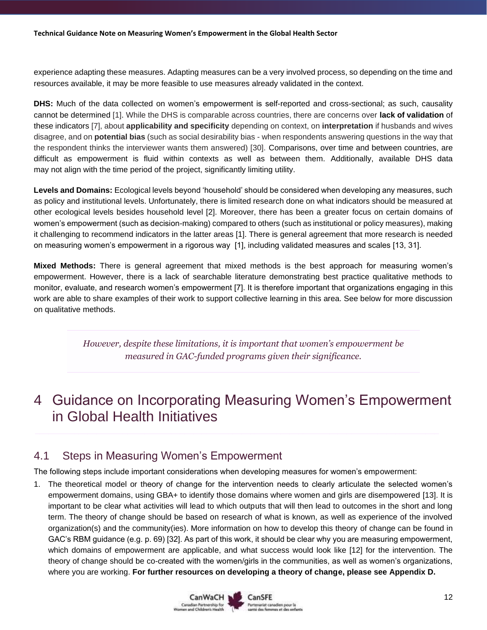experience adapting these measures. Adapting measures can be a very involved process, so depending on the time and resources available, it may be more feasible to use measures already validated in the context.

**DHS:** Much of the data collected on women's empowerment is self-reported and cross-sectional; as such, causality cannot be determined [1]. While the DHS is comparable across countries, there are concerns over **lack of validation** of these indicators [7], about **applicability and specificity** depending on context, on **interpretation** if husbands and wives disagree, and on **potential bias** (such as social desirability bias - when respondents answering questions in the way that the respondent thinks the interviewer wants them answered) [30]. Comparisons, over time and between countries, are difficult as empowerment is fluid within contexts as well as between them. Additionally, available DHS data may not align with the time period of the project, significantly limiting utility.

**Levels and Domains:** Ecological levels beyond 'household' should be considered when developing any measures, such as policy and institutional levels. Unfortunately, there is limited research done on what indicators should be measured at other ecological levels besides household level [2]. Moreover, there has been a greater focus on certain domains of women's empowerment (such as decision-making) compared to others (such as institutional or policy measures), making it challenging to recommend indicators in the latter areas [1]. There is general agreement that more research is needed on measuring women's empowerment in a rigorous way [1], including validated measures and scales [13, 31].

**Mixed Methods:** There is general agreement that mixed methods is the best approach for measuring women's empowerment. However, there is a lack of searchable literature demonstrating best practice qualitative methods to monitor, evaluate, and research women's empowerment [7]. It is therefore important that organizations engaging in this work are able to share examples of their work to support collective learning in this area. See below for more discussion on qualitative methods.

> *However, despite these limitations, it is important that women's empowerment be measured in GAC-funded programs given their significance.*

# <span id="page-11-0"></span>4 Guidance on Incorporating Measuring Women's Empowerment in Global Health Initiatives

### <span id="page-11-1"></span>4.1 Steps in Measuring Women's Empowerment

The following steps include important considerations when developing measures for women's empowerment:

1. The theoretical model or theory of change for the intervention needs to clearly articulate the selected women's empowerment domains, using GBA+ to identify those domains where women and girls are disempowered [13]. It is important to be clear what activities will lead to which outputs that will then lead to outcomes in the short and long term. The theory of change should be based on research of what is known, as well as experience of the involved organization(s) and the community(ies). More information on how to develop this theory of change can be found in GAC's RBM guidance (e.g. p. 69) [32]. As part of this work, it should be clear why you are measuring empowerment, which domains of empowerment are applicable, and what success would look like [12] for the intervention. The theory of change should be co-created with the women/girls in the communities, as well as women's organizations, where you are working. **For further resources on developing a theory of change, please see Appendix D.**

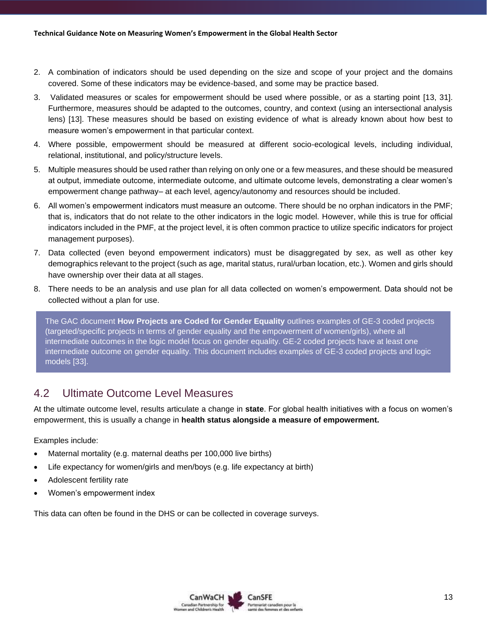- 2. A combination of indicators should be used depending on the size and scope of your project and the domains covered. Some of these indicators may be evidence-based, and some may be practice based.
- 3. Validated measures or scales for empowerment should be used where possible, or as a starting point [13, 31]. Furthermore, measures should be adapted to the outcomes, country, and context (using an intersectional analysis lens) [13]. These measures should be based on existing evidence of what is already known about how best to measure women's empowerment in that particular context.
- 4. Where possible, empowerment should be measured at different socio-ecological levels, including individual, relational, institutional, and policy/structure levels.
- 5. Multiple measures should be used rather than relying on only one or a few measures, and these should be measured at output, immediate outcome, intermediate outcome, and ultimate outcome levels, demonstrating a clear women's empowerment change pathway– at each level, agency/autonomy and resources should be included.
- 6. All women's empowerment indicators must measure an outcome. There should be no orphan indicators in the PMF; that is, indicators that do not relate to the other indicators in the logic model. However, while this is true for official indicators included in the PMF, at the project level, it is often common practice to utilize specific indicators for project management purposes).
- 7. Data collected (even beyond empowerment indicators) must be disaggregated by sex, as well as other key demographics relevant to the project (such as age, marital status, rural/urban location, etc.). Women and girls should have ownership over their data at all stages.
- 8. There needs to be an analysis and use plan for all data collected on women's empowerment. Data should not be collected without a plan for use.

The GAC document **How Projects are Coded for Gender Equality** outlines examples of GE-3 coded projects (targeted/specific projects in terms of gender equality and the empowerment of women/girls), where all intermediate outcomes in the logic model focus on gender equality. GE-2 coded projects have at least one intermediate outcome on gender equality. This document includes examples of GE-3 coded projects and logic models [33].

### <span id="page-12-0"></span>4.2 Ultimate Outcome Level Measures

At the ultimate outcome level, results articulate a change in **state**. For global health initiatives with a focus on women's empowerment, this is usually a change in **health status alongside a measure of empowerment.**

Examples include:

- Maternal mortality (e.g. maternal deaths per 100,000 live births)
- Life expectancy for women/girls and men/boys (e.g. life expectancy at birth)
- Adolescent fertility rate
- Women's empowerment index

This data can often be found in the DHS or can be collected in coverage surveys.

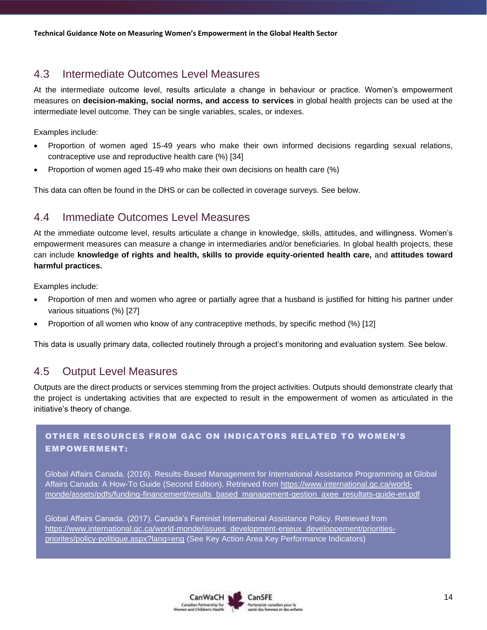### <span id="page-13-0"></span>4.3 Intermediate Outcomes Level Measures

At the intermediate outcome level, results articulate a change in behaviour or practice. Women's empowerment measures on **decision-making, social norms, and access to services** in global health projects can be used at the intermediate level outcome. They can be single variables, scales, or indexes.

Examples include:

- Proportion of women aged 15-49 years who make their own informed decisions regarding sexual relations, contraceptive use and reproductive health care (%) [34]
- Proportion of women aged 15-49 who make their own decisions on health care (%)

This data can often be found in the DHS or can be collected in coverage surveys. See below.

### <span id="page-13-1"></span>4.4 Immediate Outcomes Level Measures

At the immediate outcome level, results articulate a change in knowledge, skills, attitudes, and willingness. Women's empowerment measures can measure a change in intermediaries and/or beneficiaries. In global health projects, these can include **knowledge of rights and health, skills to provide equity-oriented health care,** and **attitudes toward harmful practices.**

Examples include:

- Proportion of men and women who agree or partially agree that a husband is justified for hitting his partner under various situations (%) [27]
- Proportion of all women who know of any contraceptive methods, by specific method (%) [12]

This data is usually primary data, collected routinely through a project's monitoring and evaluation system. See below.

### <span id="page-13-2"></span>4.5 Output Level Measures

Outputs are the direct products or services stemming from the project activities. Outputs should demonstrate clearly that the project is undertaking activities that are expected to result in the empowerment of women as articulated in the initiative's theory of change.

#### OTHER RESOURCES FROM GAC ON INDICATORS RELATED TO WOMEN'S EMPOWERMENT:

Global Affairs Canada. (2016). Results-Based Management for International Assistance Programming at Global Affairs Canada: A How-To Guide (Second Edition). Retrieved from [https://www.international.gc.ca/world](https://www.international.gc.ca/world-monde/assets/pdfs/funding-financement/results_based_management-gestion_axee_resultats-guide-en.pdf)[monde/assets/pdfs/funding-financement/results\\_based\\_management-gestion\\_axee\\_resultats-guide-en.pdf](https://www.international.gc.ca/world-monde/assets/pdfs/funding-financement/results_based_management-gestion_axee_resultats-guide-en.pdf)

Global Affairs Canada. (2017). Canada's Feminist International Assistance Policy. Retrieved from [https://www.international.gc.ca/world-monde/issues\\_development-enjeux\\_developpement/priorities](https://www.international.gc.ca/world-monde/issues_development-enjeux_developpement/priorities-priorites/policy-politique.aspx?lang=eng)[priorites/policy-politique.aspx?lang=eng](https://www.international.gc.ca/world-monde/issues_development-enjeux_developpement/priorities-priorites/policy-politique.aspx?lang=eng) (See Key Action Area Key Performance Indicators)

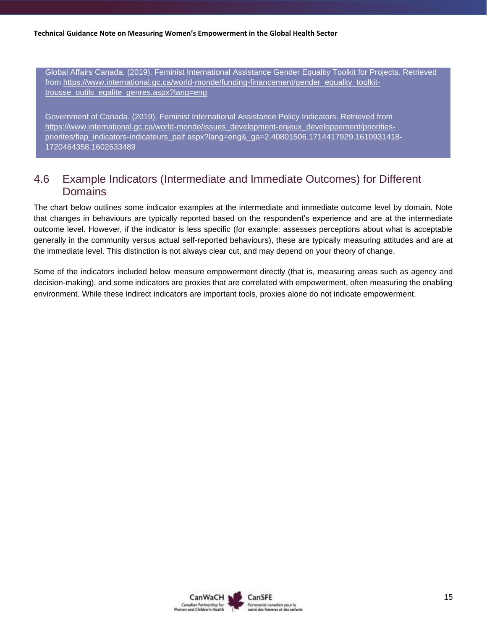Global Affairs Canada. (2019). Feminist International Assistance Gender Equality Toolkit for Projects. Retrieved from [https://www.international.gc.ca/world-monde/funding-financement/gender\\_equality\\_toolkit](https://www.international.gc.ca/world-monde/funding-financement/gender_equality_toolkit-trousse_outils_egalite_genres.aspx?lang=eng)[trousse\\_outils\\_egalite\\_genres.aspx?lang=eng](https://www.international.gc.ca/world-monde/funding-financement/gender_equality_toolkit-trousse_outils_egalite_genres.aspx?lang=eng)

Government of Canada. (2019). Feminist International Assistance Policy Indicators. Retrieved from [https://www.international.gc.ca/world-monde/issues\\_development-enjeux\\_developpement/priorities](https://www.international.gc.ca/world-monde/issues_development-enjeux_developpement/priorities-priorites/fiap_indicators-indicateurs_paif.aspx?lang=eng&_ga=2.40801506.1714417929.1610931418-1720464358.1602633489)[priorites/fiap\\_indicators-indicateurs\\_paif.aspx?lang=eng&\\_ga=2.40801506.1714417929.1610931418-](https://www.international.gc.ca/world-monde/issues_development-enjeux_developpement/priorities-priorites/fiap_indicators-indicateurs_paif.aspx?lang=eng&_ga=2.40801506.1714417929.1610931418-1720464358.1602633489) [1720464358.1602633489](https://www.international.gc.ca/world-monde/issues_development-enjeux_developpement/priorities-priorites/fiap_indicators-indicateurs_paif.aspx?lang=eng&_ga=2.40801506.1714417929.1610931418-1720464358.1602633489)

### <span id="page-14-0"></span>4.6 Example Indicators (Intermediate and Immediate Outcomes) for Different **Domains**

The chart below outlines some indicator examples at the intermediate and immediate outcome level by domain. Note that changes in behaviours are typically reported based on the respondent's experience and are at the intermediate outcome level. However, if the indicator is less specific (for example: assesses perceptions about what is acceptable generally in the community versus actual self-reported behaviours), these are typically measuring attitudes and are at the immediate level. This distinction is not always clear cut, and may depend on your theory of change.

Some of the indicators included below measure empowerment directly (that is, measuring areas such as agency and decision-making), and some indicators are proxies that are correlated with empowerment, often measuring the enabling environment. While these indirect indicators are important tools, proxies alone do not indicate empowerment.

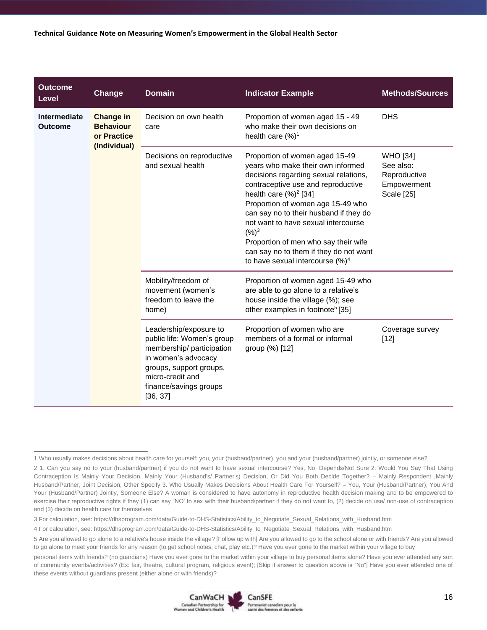| <b>Outcome</b><br>Level        | Change                                                       | <b>Domain</b>                                                                                                                                                                                | <b>Indicator Example</b>                                                                                                                                                                                                                                                                                                                                                                                                                  | <b>Methods/Sources</b>                                                           |
|--------------------------------|--------------------------------------------------------------|----------------------------------------------------------------------------------------------------------------------------------------------------------------------------------------------|-------------------------------------------------------------------------------------------------------------------------------------------------------------------------------------------------------------------------------------------------------------------------------------------------------------------------------------------------------------------------------------------------------------------------------------------|----------------------------------------------------------------------------------|
| Intermediate<br><b>Outcome</b> | Change in<br><b>Behaviour</b><br>or Practice<br>(Individual) | Decision on own health<br>care                                                                                                                                                               | Proportion of women aged 15 - 49<br>who make their own decisions on<br>health care (%) <sup>1</sup>                                                                                                                                                                                                                                                                                                                                       | <b>DHS</b>                                                                       |
|                                |                                                              | Decisions on reproductive<br>and sexual health                                                                                                                                               | Proportion of women aged 15-49<br>years who make their own informed<br>decisions regarding sexual relations,<br>contraceptive use and reproductive<br>health care $(\%)^2$ [34]<br>Proportion of women age 15-49 who<br>can say no to their husband if they do<br>not want to have sexual intercourse<br>$(%)^3$<br>Proportion of men who say their wife<br>can say no to them if they do not want<br>to have sexual intercourse $(\%)^4$ | <b>WHO</b> [34]<br>See also:<br>Reproductive<br>Empowerment<br><b>Scale [25]</b> |
|                                |                                                              | Mobility/freedom of<br>movement (women's<br>freedom to leave the<br>home)                                                                                                                    | Proportion of women aged 15-49 who<br>are able to go alone to a relative's<br>house inside the village (%); see<br>other examples in footnote <sup>5</sup> [35]                                                                                                                                                                                                                                                                           |                                                                                  |
|                                |                                                              | Leadership/exposure to<br>public life: Women's group<br>membership/participation<br>in women's advocacy<br>groups, support groups,<br>micro-credit and<br>finance/savings groups<br>[36, 37] | Proportion of women who are<br>members of a formal or informal<br>group (%) [12]                                                                                                                                                                                                                                                                                                                                                          | Coverage survey<br>$[12]$                                                        |

personal items with friends? (no guardians) Have you ever gone to the market within your village to buy personal items alone? Have you ever attended any sort of community events/activities? (Ex: fair, theatre, cultural program, religious event); [Skip if answer to question above is "No"] Have you ever attended one of these events without guardians present (either alone or with friends)?



<sup>1</sup> Who usually makes decisions about health care for yourself: you, your (husband/partner), you and your (husband/partner) jointly, or someone else?

<sup>2</sup> 1. Can you say no to your (husband/partner) if you do not want to have sexual intercourse? Yes, No, Depends/Not Sure 2. Would You Say That Using Contraception Is Mainly Your Decision, Mainly Your (Husband's/ Partner's) Decision, Or Did You Both Decide Together? – Mainly Respondent ,Mainly Husband/Partner, Joint Decision, Other Specify 3. Who Usually Makes Decisions About Health Care For Yourself? – You, Your (Husband/Partner), You And Your (Husband/Partner) Jointly, Someone Else? A woman is considered to have autonomy in reproductive health decision making and to be empowered to exercise their reproductive rights if they (1) can say "NO' to sex with their husband/partner if they do not want to, (2) decide on use/ non-use of contraception and (3) decide on health care for themselves

<sup>3</sup> For calculation, see: https://dhsprogram.com/data/Guide-to-DHS-Statistics/Ability\_to\_Negotiate\_Sexual\_Relations\_with\_Husband.htm

<sup>4</sup> For calculation, see: https://dhsprogram.com/data/Guide-to-DHS-Statistics/Ability\_to\_Negotiate\_Sexual\_Relations\_with\_Husband.htm

<sup>5</sup> Are you allowed to go alone to a relative's house inside the village? [Follow up with] Are you allowed to go to the school alone or with friends? Are you allowed to go alone to meet your friends for any reason (to get school notes, chat, play etc.)? Have you ever gone to the market within your village to buy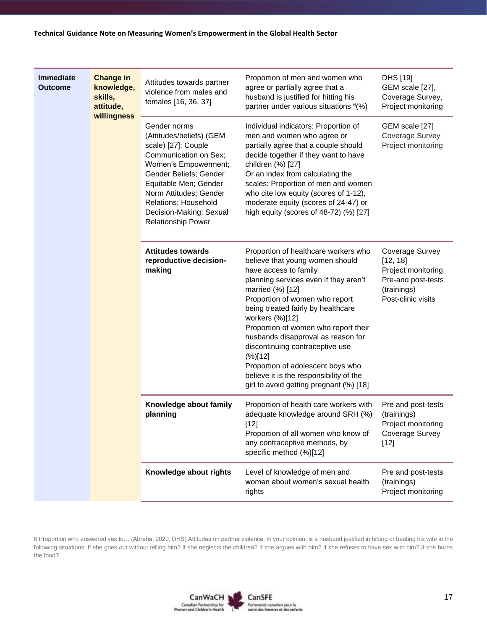| <b>Immediate</b><br><b>Outcome</b> | <b>Change in</b><br>knowledge,<br>skills,<br>attitude,<br>willingness | Attitudes towards partner<br>violence from males and<br>females [16, 36, 37]                                                                                                                                                                                                  | Proportion of men and women who<br>agree or partially agree that a<br>husband is justified for hitting his<br>partner under various situations <sup>6</sup> (%)                                                                                                                                                                                                                                                                                                                                                    | DHS [19]<br>GEM scale [27],<br>Coverage Survey,<br>Project monitoring                                        |
|------------------------------------|-----------------------------------------------------------------------|-------------------------------------------------------------------------------------------------------------------------------------------------------------------------------------------------------------------------------------------------------------------------------|--------------------------------------------------------------------------------------------------------------------------------------------------------------------------------------------------------------------------------------------------------------------------------------------------------------------------------------------------------------------------------------------------------------------------------------------------------------------------------------------------------------------|--------------------------------------------------------------------------------------------------------------|
|                                    |                                                                       | Gender norms<br>(Attitudes/beliefs) (GEM<br>scale) [27]: Couple<br>Communication on Sex;<br>Women's Empowerment;<br>Gender Beliefs; Gender<br>Equitable Men; Gender<br>Norm Attitudes; Gender<br>Relations; Household<br>Decision-Making; Sexual<br><b>Relationship Power</b> | Individual indicators: Proportion of<br>men and women who agree or<br>partially agree that a couple should<br>decide together if they want to have<br>children (%) [27]<br>Or an index from calculating the<br>scales: Proportion of men and women<br>who cite low equity (scores of 1-12),<br>moderate equity (scores of 24-47) or<br>high equity (scores of 48-72) (%) [27]                                                                                                                                      | GEM scale [27]<br>Coverage Survey<br>Project monitoring                                                      |
|                                    |                                                                       | <b>Attitudes towards</b><br>reproductive decision-<br>making                                                                                                                                                                                                                  | Proportion of healthcare workers who<br>believe that young women should<br>have access to family<br>planning services even if they aren't<br>married (%) [12]<br>Proportion of women who report<br>being treated fairly by healthcare<br>workers (%)[12]<br>Proportion of women who report their<br>husbands disapproval as reason for<br>discontinuing contraceptive use<br>$(\%)[12]$<br>Proportion of adolescent boys who<br>believe it is the responsibility of the<br>girl to avoid getting pregnant (%) [18] | Coverage Survey<br>[12, 18]<br>Project monitoring<br>Pre-and post-tests<br>(trainings)<br>Post-clinic visits |
|                                    |                                                                       | Knowledge about family<br>planning                                                                                                                                                                                                                                            | Proportion of health care workers with<br>adequate knowledge around SRH (%)<br>[12]<br>Proportion of all women who know of<br>any contraceptive methods, by<br>specific method (%)[12]                                                                                                                                                                                                                                                                                                                             | Pre and post-tests<br>(trainings)<br>Project monitoring<br>Coverage Survey<br>$[12]$                         |
|                                    |                                                                       | Knowledge about rights                                                                                                                                                                                                                                                        | Level of knowledge of men and<br>women about women's sexual health<br>rights                                                                                                                                                                                                                                                                                                                                                                                                                                       | Pre and post-tests<br>(trainings)<br>Project monitoring                                                      |

<sup>6</sup> Proportion who answered yes to… (Abreha, 2020, DHS) Attitudes on partner violence: In your opinion, is a husband justified in hitting or beating his wife in the following situations: If she goes out without telling him? If she neglects the children? If she argues with him? If she refuses to have sex with him? If she burns the food?

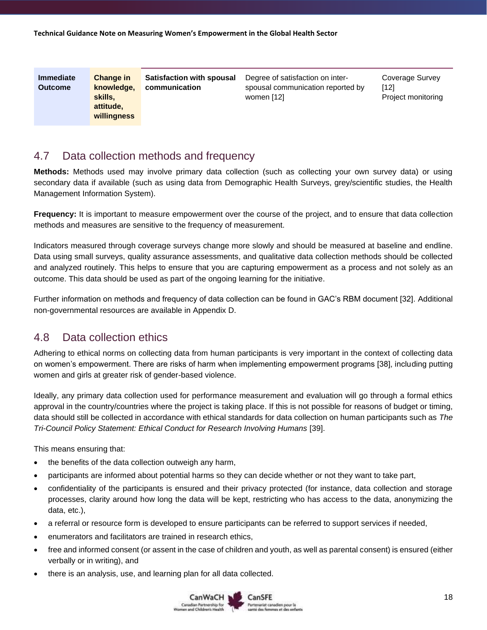| <b>Immediate</b><br><b>Outcome</b> | <b>Change in</b><br>knowledge,<br>skills,<br>attitude,<br>willingness | <b>Satisfaction with spousal</b><br>communication | Degree of satisfaction on inter-<br>spousal communication reported by<br>women [12] | Coverage Survey<br>[12]<br>Project monitoring |
|------------------------------------|-----------------------------------------------------------------------|---------------------------------------------------|-------------------------------------------------------------------------------------|-----------------------------------------------|
|------------------------------------|-----------------------------------------------------------------------|---------------------------------------------------|-------------------------------------------------------------------------------------|-----------------------------------------------|

### <span id="page-17-0"></span>4.7 Data collection methods and frequency

**Methods:** Methods used may involve primary data collection (such as collecting your own survey data) or using secondary data if available (such as using data from Demographic Health Surveys, grey/scientific studies, the Health Management Information System).

**Frequency:** It is important to measure empowerment over the course of the project, and to ensure that data collection methods and measures are sensitive to the frequency of measurement.

Indicators measured through coverage surveys change more slowly and should be measured at baseline and endline. Data using small surveys, quality assurance assessments, and qualitative data collection methods should be collected and analyzed routinely. This helps to ensure that you are capturing empowerment as a process and not solely as an outcome. This data should be used as part of the ongoing learning for the initiative.

Further information on methods and frequency of data collection can be found in GAC's RBM document [32]. Additional non-governmental resources are available in Appendix D.

### <span id="page-17-1"></span>4.8 Data collection ethics

Adhering to ethical norms on collecting data from human participants is very important in the context of collecting data on women's empowerment. There are risks of harm when implementing empowerment programs [38], including putting women and girls at greater risk of gender-based violence.

Ideally, any primary data collection used for performance measurement and evaluation will go through a formal ethics approval in the country/countries where the project is taking place. If this is not possible for reasons of budget or timing, data should still be collected in accordance with ethical standards for data collection on human participants such as *The Tri-Council Policy Statement: Ethical Conduct for Research Involving Humans* [39].

This means ensuring that:

- the benefits of the data collection outweigh any harm,
- participants are informed about potential harms so they can decide whether or not they want to take part,
- confidentiality of the participants is ensured and their privacy protected (for instance, data collection and storage processes, clarity around how long the data will be kept, restricting who has access to the data, anonymizing the data, etc.),
- a referral or resource form is developed to ensure participants can be referred to support services if needed,
- enumerators and facilitators are trained in research ethics,
- free and informed consent (or assent in the case of children and youth, as well as parental consent) is ensured (either verbally or in writing), and
- there is an analysis, use, and learning plan for all data collected.

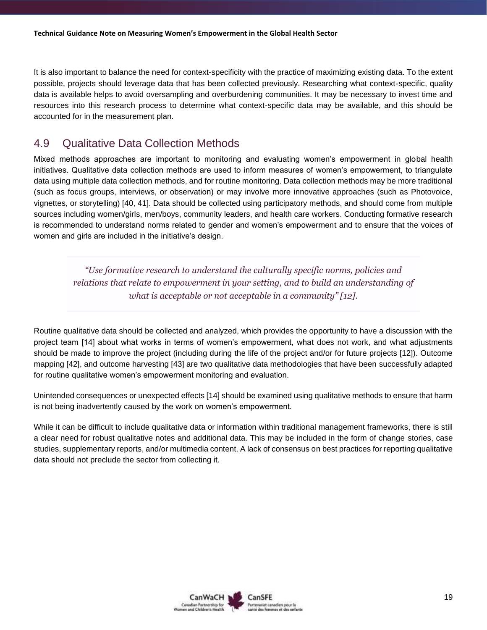It is also important to balance the need for context-specificity with the practice of maximizing existing data. To the extent possible, projects should leverage data that has been collected previously. Researching what context-specific, quality data is available helps to avoid oversampling and overburdening communities. It may be necessary to invest time and resources into this research process to determine what context-specific data may be available, and this should be accounted for in the measurement plan.

### <span id="page-18-0"></span>4.9 Qualitative Data Collection Methods

Mixed methods approaches are important to monitoring and evaluating women's empowerment in global health initiatives. Qualitative data collection methods are used to inform measures of women's empowerment, to triangulate data using multiple data collection methods, and for routine monitoring. Data collection methods may be more traditional (such as focus groups, interviews, or observation) or may involve more innovative approaches (such as Photovoice, vignettes, or storytelling) [40, 41]. Data should be collected using participatory methods, and should come from multiple sources including women/girls, men/boys, community leaders, and health care workers. Conducting formative research is recommended to understand norms related to gender and women's empowerment and to ensure that the voices of women and girls are included in the initiative's design.

*"Use formative research to understand the culturally specific norms, policies and relations that relate to empowerment in your setting, and to build an understanding of what is acceptable or not acceptable in a community" [12].*

Routine qualitative data should be collected and analyzed, which provides the opportunity to have a discussion with the project team [14] about what works in terms of women's empowerment, what does not work, and what adjustments should be made to improve the project (including during the life of the project and/or for future projects [12]). Outcome mapping [42], and outcome harvesting [43] are two qualitative data methodologies that have been successfully adapted for routine qualitative women's empowerment monitoring and evaluation.

Unintended consequences or unexpected effects [14] should be examined using qualitative methods to ensure that harm is not being inadvertently caused by the work on women's empowerment.

While it can be difficult to include qualitative data or information within traditional management frameworks, there is still a clear need for robust qualitative notes and additional data. This may be included in the form of change stories, case studies, supplementary reports, and/or multimedia content. A lack of consensus on best practices for reporting qualitative data should not preclude the sector from collecting it.

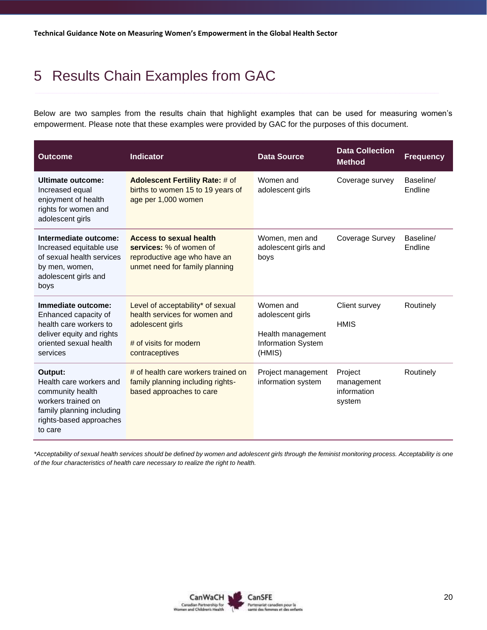# <span id="page-19-0"></span>5 Results Chain Examples from GAC

Below are two samples from the results chain that highlight examples that can be used for measuring women's empowerment. Please note that these examples were provided by GAC for the purposes of this document.

| <b>Outcome</b>                                                                                                                                  | <b>Indicator</b>                                                                                                                   | <b>Data Source</b>                                                                        |                                                | <b>Frequency</b>     |
|-------------------------------------------------------------------------------------------------------------------------------------------------|------------------------------------------------------------------------------------------------------------------------------------|-------------------------------------------------------------------------------------------|------------------------------------------------|----------------------|
| Ultimate outcome:<br>Increased equal<br>enjoyment of health<br>rights for women and<br>adolescent girls                                         | <b>Adolescent Fertility Rate: # of</b><br>births to women 15 to 19 years of<br>age per 1,000 women                                 | Women and<br>adolescent girls                                                             | Coverage survey                                | Baseline/<br>Endline |
| Intermediate outcome:<br>Increased equitable use<br>of sexual health services<br>by men, women,<br>adolescent girls and<br>boys                 | <b>Access to sexual health</b><br>services: % of women of<br>reproductive age who have an<br>unmet need for family planning        | Women, men and<br>adolescent girls and<br>boys                                            | Coverage Survey                                | Baseline/<br>Endline |
| Immediate outcome:<br>Enhanced capacity of<br>health care workers to<br>deliver equity and rights<br>oriented sexual health<br>services         | Level of acceptability* of sexual<br>health services for women and<br>adolescent girls<br># of visits for modern<br>contraceptives | Women and<br>adolescent girls<br>Health management<br><b>Information System</b><br>(HMIS) | Client survey<br><b>HMIS</b>                   | Routinely            |
| Output:<br>Health care workers and<br>community health<br>workers trained on<br>family planning including<br>rights-based approaches<br>to care | # of health care workers trained on<br>family planning including rights-<br>based approaches to care                               | Project management<br>information system                                                  | Project<br>management<br>information<br>system | Routinely            |

*\*Acceptability of sexual health services should be defined by women and adolescent girls through the feminist monitoring process. Acceptability is one of the four characteristics of health care necessary to realize the right to health.*

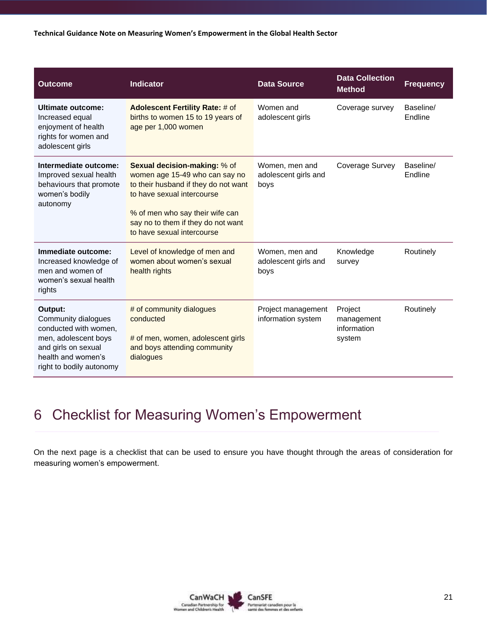**Technical Guidance Note on Measuring Women's Empowerment in the Global Health Sector**

| <b>Outcome</b>                                                                                                                                           | <b>Indicator</b>                                                                                                                                                                                                                                   | <b>Data Source</b>                             | <b>Data Collection</b><br><b>Method</b>        | <b>Frequency</b>     |
|----------------------------------------------------------------------------------------------------------------------------------------------------------|----------------------------------------------------------------------------------------------------------------------------------------------------------------------------------------------------------------------------------------------------|------------------------------------------------|------------------------------------------------|----------------------|
| Ultimate outcome:<br>Increased equal<br>enjoyment of health<br>rights for women and<br>adolescent girls                                                  | <b>Adolescent Fertility Rate: # of</b><br>births to women 15 to 19 years of<br>age per 1,000 women                                                                                                                                                 | Women and<br>adolescent girls                  | Coverage survey                                | Baseline/<br>Endline |
| Intermediate outcome:<br>Improved sexual health<br>behaviours that promote<br>women's bodily<br>autonomy                                                 | <b>Sexual decision-making: % of</b><br>women age 15-49 who can say no<br>to their husband if they do not want<br>to have sexual intercourse<br>% of men who say their wife can<br>say no to them if they do not want<br>to have sexual intercourse | Women, men and<br>adolescent girls and<br>boys | Coverage Survey                                | Baseline/<br>Endline |
| Immediate outcome:<br>Increased knowledge of<br>men and women of<br>women's sexual health<br>rights                                                      | Level of knowledge of men and<br>women about women's sexual<br>health rights                                                                                                                                                                       | Women, men and<br>adolescent girls and<br>boys | Knowledge<br>survey                            | Routinely            |
| Output:<br>Community dialogues<br>conducted with women,<br>men, adolescent boys<br>and girls on sexual<br>health and women's<br>right to bodily autonomy | # of community dialogues<br>conducted<br># of men, women, adolescent girls<br>and boys attending community<br>dialogues                                                                                                                            | Project management<br>information system       | Project<br>management<br>information<br>system | Routinely            |

# <span id="page-20-0"></span>6 Checklist for Measuring Women's Empowerment

On the next page is a checklist that can be used to ensure you have thought through the areas of consideration for measuring women's empowerment.

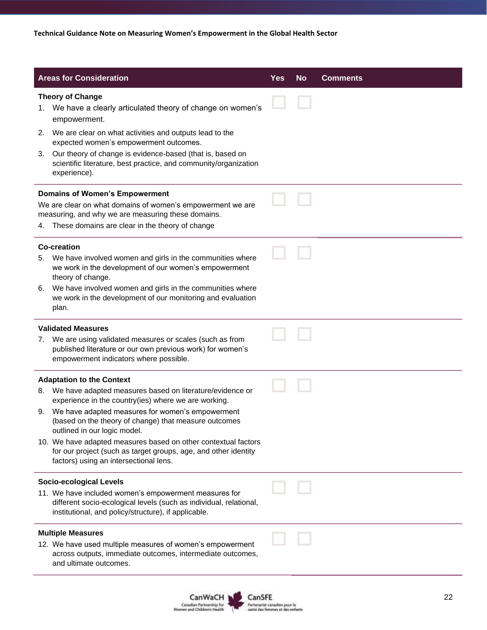| <b>Areas for Consideration</b>                                                                                                                                                      | <b>Yes</b> | <b>No</b> | <b>Comments</b> |
|-------------------------------------------------------------------------------------------------------------------------------------------------------------------------------------|------------|-----------|-----------------|
| <b>Theory of Change</b><br>We have a clearly articulated theory of change on women's<br>1.<br>empowerment.                                                                          |            |           |                 |
| We are clear on what activities and outputs lead to the<br>2.<br>expected women's empowerment outcomes.                                                                             |            |           |                 |
| Our theory of change is evidence-based (that is, based on<br>3.<br>scientific literature, best practice, and community/organization<br>experience).                                 |            |           |                 |
| <b>Domains of Women's Empowerment</b>                                                                                                                                               |            |           |                 |
| We are clear on what domains of women's empowerment we are<br>measuring, and why we are measuring these domains.                                                                    |            |           |                 |
| These domains are clear in the theory of change<br>4.                                                                                                                               |            |           |                 |
| <b>Co-creation</b>                                                                                                                                                                  |            |           |                 |
| We have involved women and girls in the communities where<br>5.<br>we work in the development of our women's empowerment<br>theory of change.                                       |            |           |                 |
| We have involved women and girls in the communities where<br>6.<br>we work in the development of our monitoring and evaluation                                                      |            |           |                 |
| plan.                                                                                                                                                                               |            |           |                 |
| <b>Validated Measures</b>                                                                                                                                                           |            |           |                 |
| We are using validated measures or scales (such as from<br>7.<br>published literature or our own previous work) for women's<br>empowerment indicators where possible.               |            |           |                 |
| <b>Adaptation to the Context</b>                                                                                                                                                    |            |           |                 |
| We have adapted measures based on literature/evidence or<br>8.<br>experience in the country(ies) where we are working.                                                              |            |           |                 |
| We have adapted measures for women's empowerment<br>9.<br>(based on the theory of change) that measure outcomes<br>outlined in our logic model.                                     |            |           |                 |
| 10. We have adapted measures based on other contextual factors<br>for our project (such as target groups, age, and other identity                                                   |            |           |                 |
| factors) using an intersectional lens.                                                                                                                                              |            |           |                 |
| <b>Socio-ecological Levels</b>                                                                                                                                                      |            |           |                 |
| 11. We have included women's empowerment measures for<br>different socio-ecological levels (such as individual, relational,<br>institutional, and policy/structure), if applicable. |            |           |                 |
| <b>Multiple Measures</b>                                                                                                                                                            |            |           |                 |
| 12. We have used multiple measures of women's empowerment<br>across outputs, immediate outcomes, intermediate outcomes,<br>and ultimate outcomes.                                   |            |           |                 |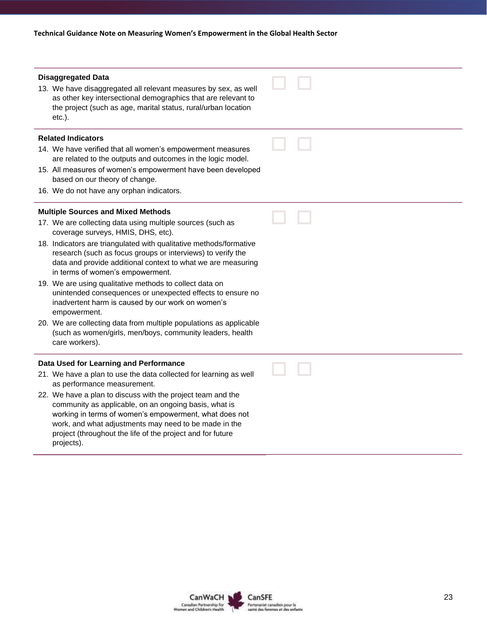| <b>Disaggregated Data</b><br>13. We have disaggregated all relevant measures by sex, as well<br>as other key intersectional demographics that are relevant to<br>the project (such as age, marital status, rural/urban location<br>$etc.$ ).                                                                        |  |
|---------------------------------------------------------------------------------------------------------------------------------------------------------------------------------------------------------------------------------------------------------------------------------------------------------------------|--|
| <b>Related Indicators</b>                                                                                                                                                                                                                                                                                           |  |
| 14. We have verified that all women's empowerment measures<br>are related to the outputs and outcomes in the logic model.                                                                                                                                                                                           |  |
| 15. All measures of women's empowerment have been developed<br>based on our theory of change.                                                                                                                                                                                                                       |  |
| 16. We do not have any orphan indicators.                                                                                                                                                                                                                                                                           |  |
| <b>Multiple Sources and Mixed Methods</b>                                                                                                                                                                                                                                                                           |  |
| 17. We are collecting data using multiple sources (such as<br>coverage surveys, HMIS, DHS, etc).                                                                                                                                                                                                                    |  |
| 18. Indicators are triangulated with qualitative methods/formative<br>research (such as focus groups or interviews) to verify the<br>data and provide additional context to what we are measuring<br>in terms of women's empowerment.                                                                               |  |
| 19. We are using qualitative methods to collect data on<br>unintended consequences or unexpected effects to ensure no<br>inadvertent harm is caused by our work on women's<br>empowerment.                                                                                                                          |  |
| 20. We are collecting data from multiple populations as applicable<br>(such as women/girls, men/boys, community leaders, health<br>care workers).                                                                                                                                                                   |  |
| Data Used for Learning and Performance                                                                                                                                                                                                                                                                              |  |
| 21. We have a plan to use the data collected for learning as well<br>as performance measurement.                                                                                                                                                                                                                    |  |
| 22. We have a plan to discuss with the project team and the<br>community as applicable, on an ongoing basis, what is<br>working in terms of women's empowerment, what does not<br>work, and what adjustments may need to be made in the<br>project (throughout the life of the project and for future<br>projects). |  |
|                                                                                                                                                                                                                                                                                                                     |  |

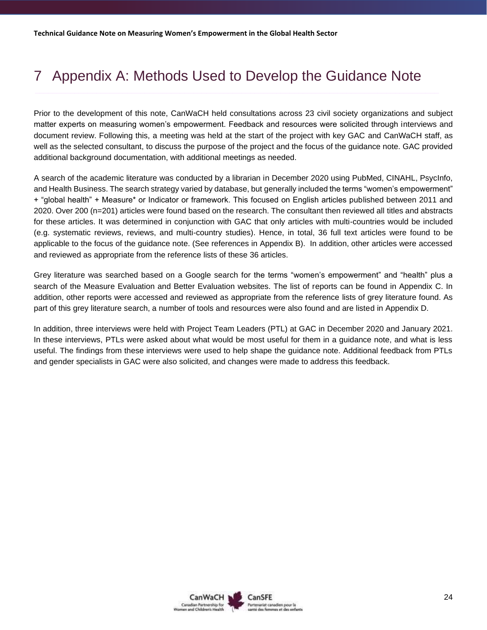# <span id="page-23-0"></span>7 Appendix A: Methods Used to Develop the Guidance Note

Prior to the development of this note, CanWaCH held consultations across 23 civil society organizations and subject matter experts on measuring women's empowerment. Feedback and resources were solicited through interviews and document review. Following this, a meeting was held at the start of the project with key GAC and CanWaCH staff, as well as the selected consultant, to discuss the purpose of the project and the focus of the guidance note. GAC provided additional background documentation, with additional meetings as needed.

A search of the academic literature was conducted by a librarian in December 2020 using PubMed, CINAHL, PsycInfo, and Health Business. The search strategy varied by database, but generally included the terms "women's empowerment" + "global health" + Measure\* or Indicator or framework. This focused on English articles published between 2011 and 2020. Over 200 (n=201) articles were found based on the research. The consultant then reviewed all titles and abstracts for these articles. It was determined in conjunction with GAC that only articles with multi-countries would be included (e.g. systematic reviews, reviews, and multi-country studies). Hence, in total, 36 full text articles were found to be applicable to the focus of the guidance note. (See references in Appendix B). In addition, other articles were accessed and reviewed as appropriate from the reference lists of these 36 articles.

Grey literature was searched based on a Google search for the terms "women's empowerment" and "health" plus a search of the Measure Evaluation and Better Evaluation websites. The list of reports can be found in Appendix C. In addition, other reports were accessed and reviewed as appropriate from the reference lists of grey literature found. As part of this grey literature search, a number of tools and resources were also found and are listed in Appendix D.

In addition, three interviews were held with Project Team Leaders (PTL) at GAC in December 2020 and January 2021. In these interviews, PTLs were asked about what would be most useful for them in a guidance note, and what is less useful. The findings from these interviews were used to help shape the guidance note. Additional feedback from PTLs and gender specialists in GAC were also solicited, and changes were made to address this feedback.

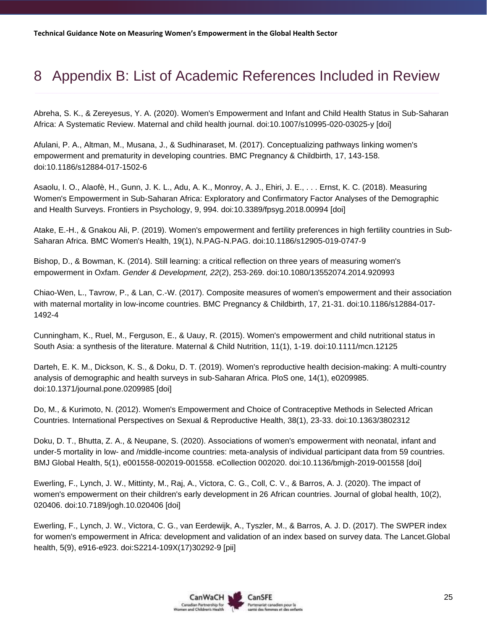# <span id="page-24-0"></span>8 Appendix B: List of Academic References Included in Review

Abreha, S. K., & Zereyesus, Y. A. (2020). Women's Empowerment and Infant and Child Health Status in Sub-Saharan Africa: A Systematic Review. Maternal and child health journal. doi:10.1007/s10995-020-03025-y [doi]

Afulani, P. A., Altman, M., Musana, J., & Sudhinaraset, M. (2017). Conceptualizing pathways linking women's empowerment and prematurity in developing countries. BMC Pregnancy & Childbirth, 17, 143-158. doi:10.1186/s12884-017-1502-6

Asaolu, I. O., Alaofè, H., Gunn, J. K. L., Adu, A. K., Monroy, A. J., Ehiri, J. E., . . . Ernst, K. C. (2018). Measuring Women's Empowerment in Sub-Saharan Africa: Exploratory and Confirmatory Factor Analyses of the Demographic and Health Surveys. Frontiers in Psychology, 9, 994. doi:10.3389/fpsyg.2018.00994 [doi]

Atake, E.-H., & Gnakou Ali, P. (2019). Women's empowerment and fertility preferences in high fertility countries in Sub-Saharan Africa. BMC Women's Health, 19(1), N.PAG-N.PAG. doi:10.1186/s12905-019-0747-9

Bishop, D., & Bowman, K. (2014). Still learning: a critical reflection on three years of measuring women's empowerment in Oxfam. *Gender & Development, 22*(2), 253-269. doi:10.1080/13552074.2014.920993

Chiao-Wen, L., Tavrow, P., & Lan, C.-W. (2017). Composite measures of women's empowerment and their association with maternal mortality in low-income countries. BMC Pregnancy & Childbirth, 17, 21-31. doi:10.1186/s12884-017- 1492-4

Cunningham, K., Ruel, M., Ferguson, E., & Uauy, R. (2015). Women's empowerment and child nutritional status in South Asia: a synthesis of the literature. Maternal & Child Nutrition, 11(1), 1-19. doi:10.1111/mcn.12125

Darteh, E. K. M., Dickson, K. S., & Doku, D. T. (2019). Women's reproductive health decision-making: A multi-country analysis of demographic and health surveys in sub-Saharan Africa. PloS one, 14(1), e0209985. doi:10.1371/journal.pone.0209985 [doi]

Do, M., & Kurimoto, N. (2012). Women's Empowerment and Choice of Contraceptive Methods in Selected African Countries. International Perspectives on Sexual & Reproductive Health, 38(1), 23-33. doi:10.1363/3802312

Doku, D. T., Bhutta, Z. A., & Neupane, S. (2020). Associations of women's empowerment with neonatal, infant and under-5 mortality in low- and /middle-income countries: meta-analysis of individual participant data from 59 countries. BMJ Global Health, 5(1), e001558-002019-001558. eCollection 002020. doi:10.1136/bmjgh-2019-001558 [doi]

Ewerling, F., Lynch, J. W., Mittinty, M., Raj, A., Victora, C. G., Coll, C. V., & Barros, A. J. (2020). The impact of women's empowerment on their children's early development in 26 African countries. Journal of global health, 10(2), 020406. doi:10.7189/jogh.10.020406 [doi]

Ewerling, F., Lynch, J. W., Victora, C. G., van Eerdewijk, A., Tyszler, M., & Barros, A. J. D. (2017). The SWPER index for women's empowerment in Africa: development and validation of an index based on survey data. The Lancet.Global health, 5(9), e916-e923. doi:S2214-109X(17)30292-9 [pii]

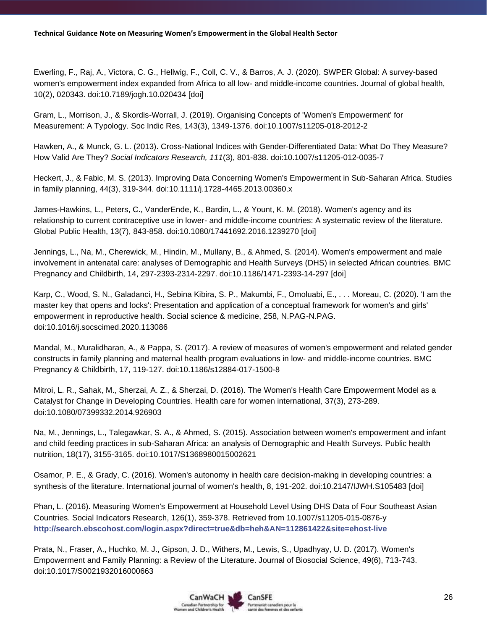Ewerling, F., Raj, A., Victora, C. G., Hellwig, F., Coll, C. V., & Barros, A. J. (2020). SWPER Global: A survey-based women's empowerment index expanded from Africa to all low- and middle-income countries. Journal of global health, 10(2), 020343. doi:10.7189/jogh.10.020434 [doi]

Gram, L., Morrison, J., & Skordis-Worrall, J. (2019). Organising Concepts of 'Women's Empowerment' for Measurement: A Typology. Soc Indic Res, 143(3), 1349-1376. doi:10.1007/s11205-018-2012-2

Hawken, A., & Munck, G. L. (2013). Cross-National Indices with Gender-Differentiated Data: What Do They Measure? How Valid Are They? *Social Indicators Research, 111*(3), 801-838. doi:10.1007/s11205-012-0035-7

Heckert, J., & Fabic, M. S. (2013). Improving Data Concerning Women's Empowerment in Sub-Saharan Africa. Studies in family planning, 44(3), 319-344. doi:10.1111/j.1728-4465.2013.00360.x

James-Hawkins, L., Peters, C., VanderEnde, K., Bardin, L., & Yount, K. M. (2018). Women's agency and its relationship to current contraceptive use in lower- and middle-income countries: A systematic review of the literature. Global Public Health, 13(7), 843-858. doi:10.1080/17441692.2016.1239270 [doi]

Jennings, L., Na, M., Cherewick, M., Hindin, M., Mullany, B., & Ahmed, S. (2014). Women's empowerment and male involvement in antenatal care: analyses of Demographic and Health Surveys (DHS) in selected African countries. BMC Pregnancy and Childbirth, 14, 297-2393-2314-2297. doi:10.1186/1471-2393-14-297 [doi]

Karp, C., Wood, S. N., Galadanci, H., Sebina Kibira, S. P., Makumbi, F., Omoluabi, E., . . . Moreau, C. (2020). 'I am the master key that opens and locks': Presentation and application of a conceptual framework for women's and girls' empowerment in reproductive health. Social science & medicine, 258, N.PAG-N.PAG. doi:10.1016/j.socscimed.2020.113086

Mandal, M., Muralidharan, A., & Pappa, S. (2017). A review of measures of women's empowerment and related gender constructs in family planning and maternal health program evaluations in low- and middle-income countries. BMC Pregnancy & Childbirth, 17, 119-127. doi:10.1186/s12884-017-1500-8

Mitroi, L. R., Sahak, M., Sherzai, A. Z., & Sherzai, D. (2016). The Women's Health Care Empowerment Model as a Catalyst for Change in Developing Countries. Health care for women international, 37(3), 273-289. doi:10.1080/07399332.2014.926903

Na, M., Jennings, L., Talegawkar, S. A., & Ahmed, S. (2015). Association between women's empowerment and infant and child feeding practices in sub-Saharan Africa: an analysis of Demographic and Health Surveys. Public health nutrition, 18(17), 3155-3165. doi:10.1017/S1368980015002621

Osamor, P. E., & Grady, C. (2016). Women's autonomy in health care decision-making in developing countries: a synthesis of the literature. International journal of women's health, 8, 191-202. doi:10.2147/IJWH.S105483 [doi]

Phan, L. (2016). Measuring Women's Empowerment at Household Level Using DHS Data of Four Southeast Asian Countries. Social Indicators Research, 126(1), 359-378. Retrieved from 10.1007/s11205-015-0876-y **http://search.ebscohost.com/login.aspx?direct=true&db=heh&AN=112861422&site=ehost-live**

Prata, N., Fraser, A., Huchko, M. J., Gipson, J. D., Withers, M., Lewis, S., Upadhyay, U. D. (2017). Women's Empowerment and Family Planning: a Review of the Literature. Journal of Biosocial Science, 49(6), 713-743. doi:10.1017/S0021932016000663

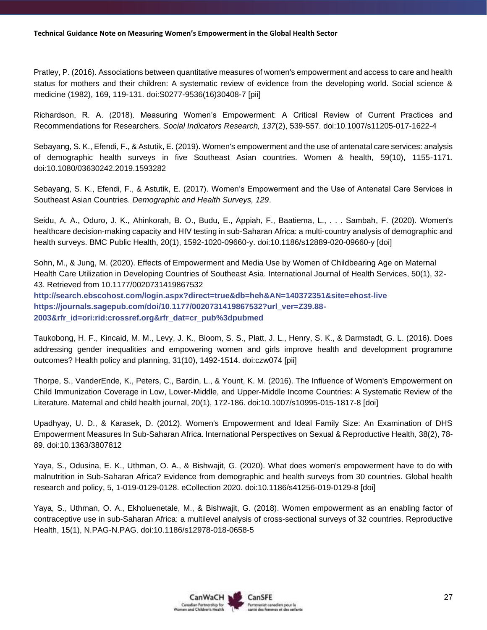Pratley, P. (2016). Associations between quantitative measures of women's empowerment and access to care and health status for mothers and their children: A systematic review of evidence from the developing world. Social science & medicine (1982), 169, 119-131. doi:S0277-9536(16)30408-7 [pii]

Richardson, R. A. (2018). Measuring Women's Empowerment: A Critical Review of Current Practices and Recommendations for Researchers. *Social Indicators Research, 137*(2), 539-557. doi:10.1007/s11205-017-1622-4

Sebayang, S. K., Efendi, F., & Astutik, E. (2019). Women's empowerment and the use of antenatal care services: analysis of demographic health surveys in five Southeast Asian countries. Women & health, 59(10), 1155-1171. doi:10.1080/03630242.2019.1593282

Sebayang, S. K., Efendi, F., & Astutik, E. (2017). Women's Empowerment and the Use of Antenatal Care Services in Southeast Asian Countries. *Demographic and Health Surveys, 129*.

Seidu, A. A., Oduro, J. K., Ahinkorah, B. O., Budu, E., Appiah, F., Baatiema, L., . . . Sambah, F. (2020). Women's healthcare decision-making capacity and HIV testing in sub-Saharan Africa: a multi-country analysis of demographic and health surveys. BMC Public Health, 20(1), 1592-1020-09660-y. doi:10.1186/s12889-020-09660-y [doi]

Sohn, M., & Jung, M. (2020). Effects of Empowerment and Media Use by Women of Childbearing Age on Maternal Health Care Utilization in Developing Countries of Southeast Asia. International Journal of Health Services, 50(1), 32- 43. Retrieved from 10.1177/0020731419867532 **<http://search.ebscohost.com/login.aspx?direct=true&db=heh&AN=140372351&site=ehost-live> [https://journals.sagepub.com/doi/10.1177/0020731419867532?url\\_ver=Z39.88-](https://journals.sagepub.com/doi/10.1177/0020731419867532?url_ver=Z39.88-2003&rfr_id=ori:rid:crossref.org&rfr_dat=cr_pub%3dpubmed) [2003&rfr\\_id=ori:rid:crossref.org&rfr\\_dat=cr\\_pub%3dpubmed](https://journals.sagepub.com/doi/10.1177/0020731419867532?url_ver=Z39.88-2003&rfr_id=ori:rid:crossref.org&rfr_dat=cr_pub%3dpubmed)**

Taukobong, H. F., Kincaid, M. M., Levy, J. K., Bloom, S. S., Platt, J. L., Henry, S. K., & Darmstadt, G. L. (2016). Does addressing gender inequalities and empowering women and girls improve health and development programme outcomes? Health policy and planning, 31(10), 1492-1514. doi:czw074 [pii]

Thorpe, S., VanderEnde, K., Peters, C., Bardin, L., & Yount, K. M. (2016). The Influence of Women's Empowerment on Child Immunization Coverage in Low, Lower-Middle, and Upper-Middle Income Countries: A Systematic Review of the Literature. Maternal and child health journal, 20(1), 172-186. doi:10.1007/s10995-015-1817-8 [doi]

Upadhyay, U. D., & Karasek, D. (2012). Women's Empowerment and Ideal Family Size: An Examination of DHS Empowerment Measures In Sub-Saharan Africa. International Perspectives on Sexual & Reproductive Health, 38(2), 78- 89. doi:10.1363/3807812

Yaya, S., Odusina, E. K., Uthman, O. A., & Bishwajit, G. (2020). What does women's empowerment have to do with malnutrition in Sub-Saharan Africa? Evidence from demographic and health surveys from 30 countries. Global health research and policy, 5, 1-019-0129-0128. eCollection 2020. doi:10.1186/s41256-019-0129-8 [doi]

Yaya, S., Uthman, O. A., Ekholuenetale, M., & Bishwajit, G. (2018). Women empowerment as an enabling factor of contraceptive use in sub-Saharan Africa: a multilevel analysis of cross-sectional surveys of 32 countries. Reproductive Health, 15(1), N.PAG-N.PAG. doi:10.1186/s12978-018-0658-5

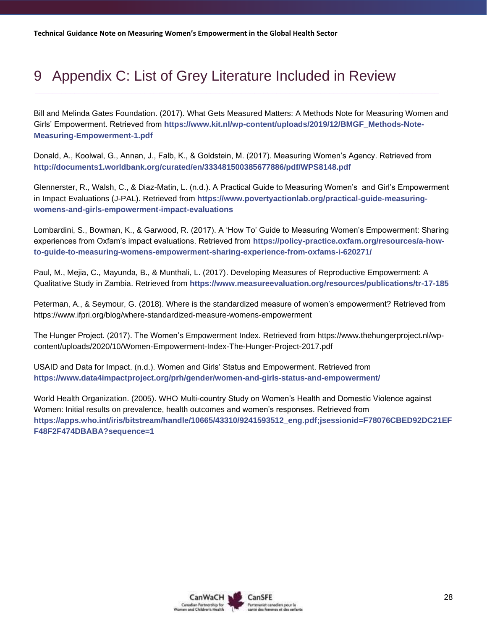# <span id="page-27-0"></span>9 Appendix C: List of Grey Literature Included in Review

Bill and Melinda Gates Foundation. (2017). What Gets Measured Matters: A Methods Note for Measuring Women and Girls' Empowerment. Retrieved from **[https://www.kit.nl/wp-content/uploads/2019/12/BMGF\\_Methods-Note-](https://www.kit.nl/wp-content/uploads/2019/12/BMGF_Methods-Note-Measuring-Empowerment-1.pdf)[Measuring-Empowerment-1.pdf](https://www.kit.nl/wp-content/uploads/2019/12/BMGF_Methods-Note-Measuring-Empowerment-1.pdf)**

Donald, A., Koolwal, G., Annan, J., Falb, K., & Goldstein, M. (2017). Measuring Women's Agency. Retrieved from **<http://documents1.worldbank.org/curated/en/333481500385677886/pdf/WPS8148.pdf>**

Glennerster, R., Walsh, C., & Diaz-Matin, L. (n.d.). A Practical Guide to Measuring Women's and Girl's Empowerment in Impact Evaluations (J-PAL). Retrieved from **[https://www.povertyactionlab.org/practical-guide-measuring](https://www.povertyactionlab.org/practical-guide-measuring-womens-and-girls-empowerment-impact-evaluations)[womens-and-girls-empowerment-impact-evaluations](https://www.povertyactionlab.org/practical-guide-measuring-womens-and-girls-empowerment-impact-evaluations)**

Lombardini, S., Bowman, K., & Garwood, R. (2017). A 'How To' Guide to Measuring Women's Empowerment: Sharing experiences from Oxfam's impact evaluations. Retrieved from **[https://policy-practice.oxfam.org/resources/a-how](https://policy-practice.oxfam.org/resources/a-how-to-guide-to-measuring-womens-empowerment-sharing-experience-from-oxfams-i-620271/)[to-guide-to-measuring-womens-empowerment-sharing-experience-from-oxfams-i-620271/](https://policy-practice.oxfam.org/resources/a-how-to-guide-to-measuring-womens-empowerment-sharing-experience-from-oxfams-i-620271/)**

Paul, M., Mejia, C., Mayunda, B., & Munthali, L. (2017). Developing Measures of Reproductive Empowerment: A Qualitative Study in Zambia. Retrieved from **<https://www.measureevaluation.org/resources/publications/tr-17-185>**

Peterman, A., & Seymour, G. (2018). Where is the standardized measure of women's empowerment? Retrieved from <https://www.ifpri.org/blog/where-standardized-measure-womens-empowerment>

The Hunger Project. (2017). The Women's Empowerment Index. Retrieved from [https://www.thehungerproject.nl/wp](https://www.thehungerproject.nl/wp-content/uploads/2020/10/Women-Empowerment-Index-The-Hunger-Project-2017.pdf)[content/uploads/2020/10/Women-Empowerment-Index-The-Hunger-Project-2017.pdf](https://www.thehungerproject.nl/wp-content/uploads/2020/10/Women-Empowerment-Index-The-Hunger-Project-2017.pdf)

USAID and Data for Impact. (n.d.). Women and Girls' Status and Empowerment. Retrieved from **<https://www.data4impactproject.org/prh/gender/women-and-girls-status-and-empowerment/>**

<span id="page-27-1"></span>World Health Organization. (2005). WHO Multi-country Study on Women's Health and Domestic Violence against Women: Initial results on prevalence, health outcomes and women's responses. Retrieved from **[https://apps.who.int/iris/bitstream/handle/10665/43310/9241593512\\_eng.pdf;jsessionid=F78076CBED92DC21EF](https://apps.who.int/iris/bitstream/handle/10665/43310/9241593512_eng.pdf;jsessionid=F78076CBED92DC21EFF48F2F474DBABA?sequence=1) [F48F2F474DBABA?sequence=1](https://apps.who.int/iris/bitstream/handle/10665/43310/9241593512_eng.pdf;jsessionid=F78076CBED92DC21EFF48F2F474DBABA?sequence=1)**

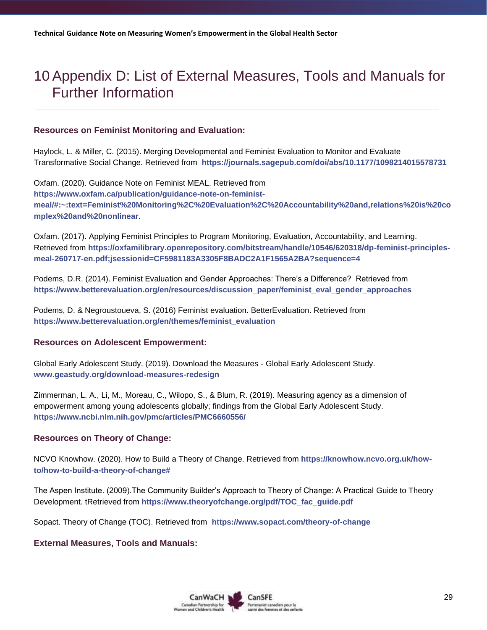# <span id="page-28-0"></span>10 Appendix D: List of External Measures, Tools and Manuals for Further Information

#### **Resources on Feminist Monitoring and Evaluation:**

Haylock, L. & Miller, C. (2015). Merging Developmental and Feminist Evaluation to Monitor and Evaluate Transformative Social Change. Retrieved from **<https://journals.sagepub.com/doi/abs/10.1177/1098214015578731>**

Oxfam. (2020). Guidance Note on Feminist MEAL. Retrieved from **[https://www.oxfam.ca/publication/guidance-note-on-feminist](https://www.oxfam.ca/publication/guidance-note-on-feminist-meal/#:~:text=Feminist%20Monitoring%2C%20Evaluation%2C%20Accountability%20and,relations%20is%20complex%20and%20nonlinear)[meal/#:~:text=Feminist%20Monitoring%2C%20Evaluation%2C%20Accountability%20and,relations%20is%20co](https://www.oxfam.ca/publication/guidance-note-on-feminist-meal/#:~:text=Feminist%20Monitoring%2C%20Evaluation%2C%20Accountability%20and,relations%20is%20complex%20and%20nonlinear) [mplex%20and%20nonlinear](https://www.oxfam.ca/publication/guidance-note-on-feminist-meal/#:~:text=Feminist%20Monitoring%2C%20Evaluation%2C%20Accountability%20and,relations%20is%20complex%20and%20nonlinear)**.

Oxfam. (2017). Applying Feminist Principles to Program Monitoring, Evaluation, Accountability, and Learning. Retrieved from **[https://oxfamilibrary.openrepository.com/bitstream/handle/10546/620318/dp-feminist-principles](https://oxfamilibrary.openrepository.com/bitstream/handle/10546/620318/dp-feminist-principles-meal-260717-en.pdf;jsessionid=CF5981183A3305F8BADC2A1F1565A2BA?sequence=4)[meal-260717-en.pdf;jsessionid=CF5981183A3305F8BADC2A1F1565A2BA?sequence=4](https://oxfamilibrary.openrepository.com/bitstream/handle/10546/620318/dp-feminist-principles-meal-260717-en.pdf;jsessionid=CF5981183A3305F8BADC2A1F1565A2BA?sequence=4)**

Podems, D.R. (2014). Feminist Evaluation and Gender Approaches: There's a Difference? Retrieved from **[https://www.betterevaluation.org/en/resources/discussion\\_paper/feminist\\_eval\\_gender\\_approaches](https://www.betterevaluation.org/en/resources/discussion_paper/feminist_eval_gender_approaches)**

Podems, D. & Negroustoueva, S. (2016) Feminist evaluation. BetterEvaluation. Retrieved from **[https://www.betterevaluation.org/en/themes/feminist\\_evaluation](https://www.betterevaluation.org/en/themes/feminist_evaluation)**

#### **Resources on Adolescent Empowerment:**

Global Early Adolescent Study. (2019). Download the Measures - Global Early Adolescent Study. **[www.geastudy.org/download-measures-redesign](http://www.geastudy.org/download-measures-redesign)**

Zimmerman, L. A., Li, M., Moreau, C., Wilopo, S., & Blum, R. (2019). Measuring agency as a dimension of empowerment among young adolescents globally; findings from the Global Early Adolescent Study. **<https://www.ncbi.nlm.nih.gov/pmc/articles/PMC6660556/>**

#### **Resources on Theory of Change:**

NCVO Knowhow. (2020). How to Build a Theory of Change. Retrieved from **[https://knowhow.ncvo.org.uk/how](https://knowhow.ncvo.org.uk/how-to/how-to-build-a-theory-of-change)[to/how-to-build-a-theory-of-change#](https://knowhow.ncvo.org.uk/how-to/how-to-build-a-theory-of-change)**

The Aspen Institute. (2009).The Community Builder's Approach to Theory of Change: A Practical Guide to Theory Development. tRetrieved from **[https://www.theoryofchange.org/pdf/TOC\\_fac\\_guide.pdf](https://www.theoryofchange.org/pdf/TOC_fac_guide.pdf)**

Sopact. Theory of Change (TOC). Retrieved from **<https://www.sopact.com/theory-of-change>**

#### **External Measures, Tools and Manuals:**

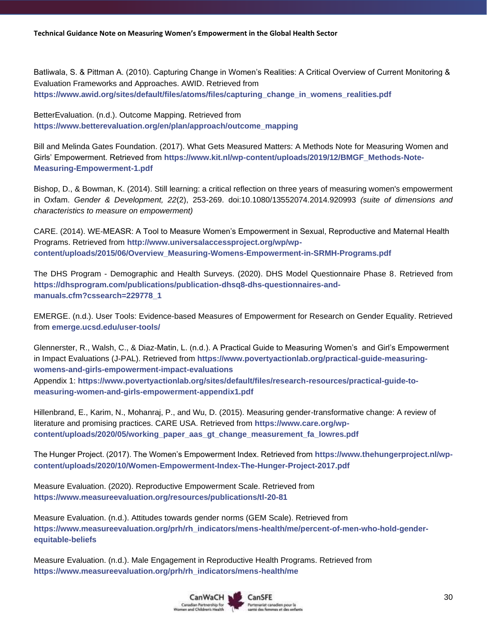Batliwala, S. & Pittman A. (2010). Capturing Change in Women's Realities: A Critical Overview of Current Monitoring & Evaluation Frameworks and Approaches. AWID. Retrieved from **[https://www.awid.org/sites/default/files/atoms/files/capturing\\_change\\_in\\_womens\\_realities.pdf](https://www.awid.org/sites/default/files/atoms/files/capturing_change_in_womens_realities.pdf)**

BetterEvaluation. (n.d.). Outcome Mapping. Retrieved from **[https://www.betterevaluation.org/en/plan/approach/outcome\\_mapping](https://www.betterevaluation.org/en/plan/approach/outcome_mapping)**

Bill and Melinda Gates Foundation. (2017). What Gets Measured Matters: A Methods Note for Measuring Women and Girls' Empowerment. Retrieved from **[https://www.kit.nl/wp-content/uploads/2019/12/BMGF\\_Methods-Note-](https://www.kit.nl/wp-content/uploads/2019/12/BMGF_Methods-Note-Measuring-Empowerment-1.pdf)[Measuring-Empowerment-1.pdf](https://www.kit.nl/wp-content/uploads/2019/12/BMGF_Methods-Note-Measuring-Empowerment-1.pdf)**

Bishop, D., & Bowman, K. (2014). Still learning: a critical reflection on three years of measuring women's empowerment in Oxfam. *Gender & Development, 22*(2), 253-269. doi:10.1080/13552074.2014.920993 *(suite of dimensions and characteristics to measure on empowerment)*

CARE. (2014). WE-MEASR: A Tool to Measure Women's Empowerment in Sexual, Reproductive and Maternal Health Programs. Retrieved from **[http://www.universalaccessproject.org/wp/wp](http://www.universalaccessproject.org/wp/wp-content/uploads/2015/06/Overview_Measuring-Womens-Empowerment-in-SRMH-Programs.pdf)[content/uploads/2015/06/Overview\\_Measuring-Womens-Empowerment-in-SRMH-Programs.pdf](http://www.universalaccessproject.org/wp/wp-content/uploads/2015/06/Overview_Measuring-Womens-Empowerment-in-SRMH-Programs.pdf)**

The DHS Program - Demographic and Health Surveys. (2020). DHS Model Questionnaire Phase 8. Retrieved from **[https://dhsprogram.com/publications/publication-dhsq8-dhs-questionnaires-and](https://dhsprogram.com/publications/publication-dhsq8-dhs-questionnaires-and-manuals.cfm?cssearch=229778_1)[manuals.cfm?cssearch=229778\\_1](https://dhsprogram.com/publications/publication-dhsq8-dhs-questionnaires-and-manuals.cfm?cssearch=229778_1)**

EMERGE. (n.d.). User Tools: Evidence-based Measures of Empowerment for Research on Gender Equality. Retrieved from **emerge.ucsd.edu/user-tools/**

Glennerster, R., Walsh, C., & Diaz-Matin, L. (n.d.). A Practical Guide to Measuring Women's and Girl's Empowerment in Impact Evaluations (J-PAL). Retrieved from **[https://www.povertyactionlab.org/practical-guide-measuring](https://www.povertyactionlab.org/practical-guide-measuring-womens-and-girls-empowerment-impact-evaluations)[womens-and-girls-empowerment-impact-evaluations](https://www.povertyactionlab.org/practical-guide-measuring-womens-and-girls-empowerment-impact-evaluations)** Appendix 1: **https://www.povertyactionlab.org/sites/default/files/research-resources/practical-guide-tomeasuring-women-and-girls-empowerment-appendix1.pdf**

Hillenbrand, E., Karim, N., Mohanraj, P., and Wu, D. (2015). Measuring gender-transformative change: A review of literature and promising practices. CARE USA. Retrieved from **[https://www.care.org/wp](https://www.care.org/wp-content/uploads/2020/05/working_paper_aas_gt_change_measurement_fa_lowres.pdf)[content/uploads/2020/05/working\\_paper\\_aas\\_gt\\_change\\_measurement\\_fa\\_lowres.pdf](https://www.care.org/wp-content/uploads/2020/05/working_paper_aas_gt_change_measurement_fa_lowres.pdf)**

The Hunger Project. (2017). The Women's Empowerment Index. Retrieved from **[https://www.thehungerproject.nl/wp](https://www.thehungerproject.nl/wp-content/uploads/2020/10/Women-Empowerment-Index-The-Hunger-Project-2017.pdf)[content/uploads/2020/10/Women-Empowerment-Index-The-Hunger-Project-2017.pdf](https://www.thehungerproject.nl/wp-content/uploads/2020/10/Women-Empowerment-Index-The-Hunger-Project-2017.pdf)**

Measure Evaluation. (2020). Reproductive Empowerment Scale. Retrieved from **<https://www.measureevaluation.org/resources/publications/tl-20-81>**

Measure Evaluation. (n.d.). Attitudes towards gender norms (GEM Scale). Retrieved from **[https://www.measureevaluation.org/prh/rh\\_indicators/mens-health/me/percent-of-men-who-hold-gender](https://www.measureevaluation.org/prh/rh_indicators/mens-health/me/percent-of-men-who-hold-gender-equitable-beliefs)[equitable-beliefs](https://www.measureevaluation.org/prh/rh_indicators/mens-health/me/percent-of-men-who-hold-gender-equitable-beliefs)**

Measure Evaluation. (n.d.). Male Engagement in Reproductive Health Programs. Retrieved from **[https://www.measureevaluation.org/prh/rh\\_indicators/mens-health/me](https://www.measureevaluation.org/prh/rh_indicators/mens-health/me)**

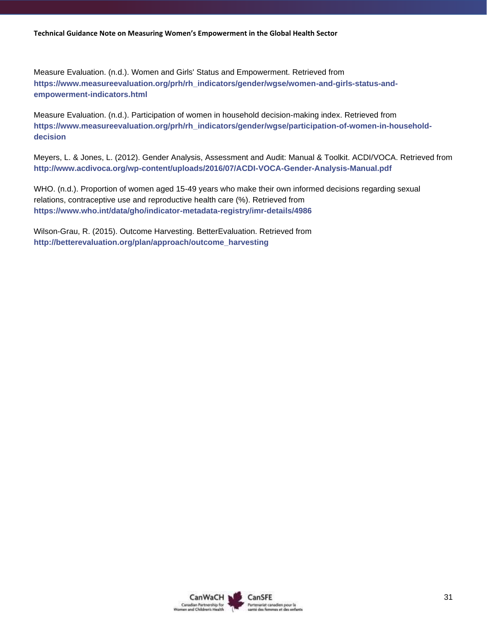Measure Evaluation. (n.d.). Women and Girls' Status and Empowerment. Retrieved from **[https://www.measureevaluation.org/prh/rh\\_indicators/gender/wgse/women-and-girls-status-and](https://www.measureevaluation.org/prh/rh_indicators/gender/wgse/women-and-girls-status-and-empowerment-indicators.html)[empowerment-indicators.html](https://www.measureevaluation.org/prh/rh_indicators/gender/wgse/women-and-girls-status-and-empowerment-indicators.html)**

Measure Evaluation. (n.d.). Participation of women in household decision-making index. Retrieved from **[https://www.measureevaluation.org/prh/rh\\_indicators/gender/wgse/participation-of-women-in-household](https://www.measureevaluation.org/prh/rh_indicators/gender/wgse/participation-of-women-in-household-decision)[decision](https://www.measureevaluation.org/prh/rh_indicators/gender/wgse/participation-of-women-in-household-decision)**

Meyers, L. & Jones, L. (2012). Gender Analysis, Assessment and Audit: Manual & Toolkit. ACDI/VOCA. Retrieved from **<http://www.acdivoca.org/wp-content/uploads/2016/07/ACDI-VOCA-Gender-Analysis-Manual.pdf>**

WHO. (n.d.). Proportion of women aged 15-49 years who make their own informed decisions regarding sexual relations, contraceptive use and reproductive health care (%). Retrieved from **<https://www.who.int/data/gho/indicator-metadata-registry/imr-details/4986>**

Wilson-Grau, R. (2015). Outcome Harvesting. BetterEvaluation. Retrieved from **[http://betterevaluation.org/plan/approach/outcome\\_harvesting](http://betterevaluation.org/plan/approach/outcome_harvesting)**

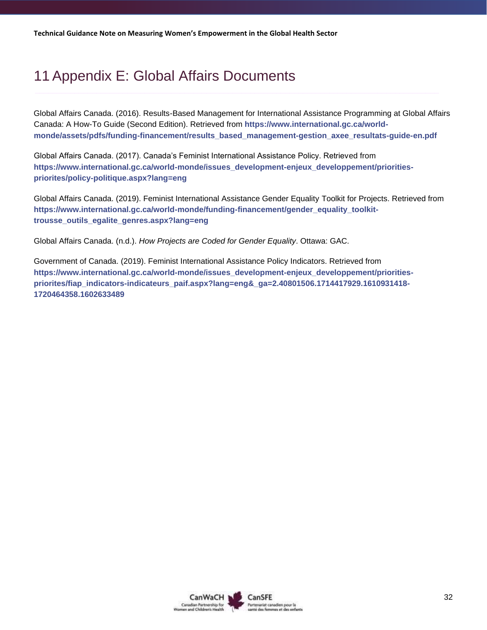# <span id="page-31-0"></span>11 Appendix E: Global Affairs Documents

Global Affairs Canada. (2016). Results-Based Management for International Assistance Programming at Global Affairs Canada: A How-To Guide (Second Edition). Retrieved from **[https://www.international.gc.ca/world](https://www.international.gc.ca/world-monde/assets/pdfs/funding-financement/results_based_management-gestion_axee_resultats-guide-en.pdf)[monde/assets/pdfs/funding-financement/results\\_based\\_management-gestion\\_axee\\_resultats-guide-en.pdf](https://www.international.gc.ca/world-monde/assets/pdfs/funding-financement/results_based_management-gestion_axee_resultats-guide-en.pdf)**

Global Affairs Canada. (2017). Canada's Feminist International Assistance Policy. Retrieved from **[https://www.international.gc.ca/world-monde/issues\\_development-enjeux\\_developpement/priorities](https://www.international.gc.ca/world-monde/issues_development-enjeux_developpement/priorities-priorites/policy-politique.aspx?lang=eng)[priorites/policy-politique.aspx?lang=eng](https://www.international.gc.ca/world-monde/issues_development-enjeux_developpement/priorities-priorites/policy-politique.aspx?lang=eng)**

Global Affairs Canada. (2019). Feminist International Assistance Gender Equality Toolkit for Projects. Retrieved from **[https://www.international.gc.ca/world-monde/funding-financement/gender\\_equality\\_toolkit](https://www.international.gc.ca/world-monde/funding-financement/gender_equality_toolkit-trousse_outils_egalite_genres.aspx?lang=eng)[trousse\\_outils\\_egalite\\_genres.aspx?lang=eng](https://www.international.gc.ca/world-monde/funding-financement/gender_equality_toolkit-trousse_outils_egalite_genres.aspx?lang=eng)**

Global Affairs Canada. (n.d.). *How Projects are Coded for Gender Equality*. Ottawa: GAC.

Government of Canada. (2019). Feminist International Assistance Policy Indicators. Retrieved from **[https://www.international.gc.ca/world-monde/issues\\_development-enjeux\\_developpement/priorities](https://www.international.gc.ca/world-monde/issues_development-enjeux_developpement/priorities-priorites/fiap_indicators-indicateurs_paif.aspx?lang=eng&_ga=2.40801506.1714417929.1610931418-1720464358.1602633489)[priorites/fiap\\_indicators-indicateurs\\_paif.aspx?lang=eng&\\_ga=2.40801506.1714417929.1610931418-](https://www.international.gc.ca/world-monde/issues_development-enjeux_developpement/priorities-priorites/fiap_indicators-indicateurs_paif.aspx?lang=eng&_ga=2.40801506.1714417929.1610931418-1720464358.1602633489) [1720464358.1602633489](https://www.international.gc.ca/world-monde/issues_development-enjeux_developpement/priorities-priorites/fiap_indicators-indicateurs_paif.aspx?lang=eng&_ga=2.40801506.1714417929.1610931418-1720464358.1602633489)**

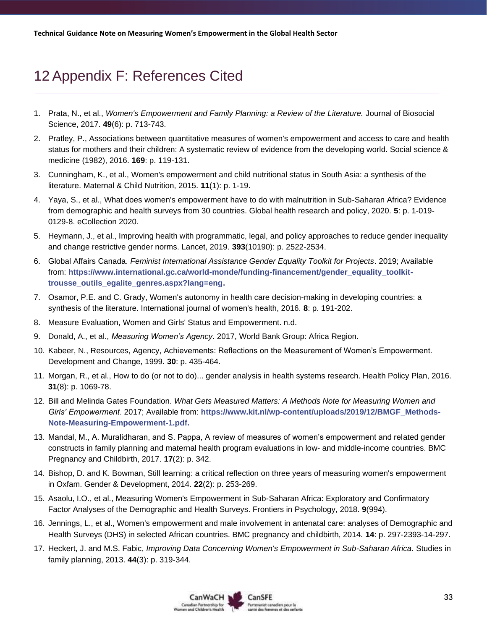# <span id="page-32-0"></span>12 Appendix F: References Cited

- 1. Prata, N., et al., *Women's Empowerment and Family Planning: a Review of the Literature.* Journal of Biosocial Science, 2017. **49**(6): p. 713-743.
- 2. Pratley, P., Associations between quantitative measures of women's empowerment and access to care and health status for mothers and their children: A systematic review of evidence from the developing world. Social science & medicine (1982), 2016. **169**: p. 119-131.
- 3. Cunningham, K., et al., Women's empowerment and child nutritional status in South Asia: a synthesis of the literature. Maternal & Child Nutrition, 2015. **11**(1): p. 1-19.
- 4. Yaya, S., et al., What does women's empowerment have to do with malnutrition in Sub-Saharan Africa? Evidence from demographic and health surveys from 30 countries. Global health research and policy, 2020. **5**: p. 1-019- 0129-8. eCollection 2020.
- 5. Heymann, J., et al., Improving health with programmatic, legal, and policy approaches to reduce gender inequality and change restrictive gender norms. Lancet, 2019. **393**(10190): p. 2522-2534.
- 6. Global Affairs Canada. *Feminist International Assistance Gender Equality Toolkit for Projects*. 2019; Available from: **[https://www.international.gc.ca/world-monde/funding-financement/gender\\_equality\\_toolkit](https://www.international.gc.ca/world-monde/funding-financement/gender_equality_toolkit-trousse_outils_egalite_genres.aspx?lang=eng)[trousse\\_outils\\_egalite\\_genres.aspx?lang=eng.](https://www.international.gc.ca/world-monde/funding-financement/gender_equality_toolkit-trousse_outils_egalite_genres.aspx?lang=eng)**
- 7. Osamor, P.E. and C. Grady, Women's autonomy in health care decision-making in developing countries: a synthesis of the literature. International journal of women's health, 2016. **8**: p. 191-202.
- 8. Measure Evaluation, Women and Girls' Status and Empowerment. n.d.
- 9. Donald, A., et al., *Measuring Women's Agency*. 2017, World Bank Group: Africa Region.
- 10. Kabeer, N., Resources, Agency, Achievements: Reflections on the Measurement of Women's Empowerment. Development and Change, 1999. **30**: p. 435-464.
- 11. Morgan, R., et al., How to do (or not to do)... gender analysis in health systems research. Health Policy Plan, 2016. **31**(8): p. 1069-78.
- 12. Bill and Melinda Gates Foundation. *What Gets Measured Matters: A Methods Note for Measuring Women and Girls' Empowerment*. 2017; Available from: **[https://www.kit.nl/wp-content/uploads/2019/12/BMGF\\_Methods-](https://www.kit.nl/wp-content/uploads/2019/12/BMGF_Methods-Note-Measuring-Empowerment-1.pdf)[Note-Measuring-Empowerment-1.pdf.](https://www.kit.nl/wp-content/uploads/2019/12/BMGF_Methods-Note-Measuring-Empowerment-1.pdf)**
- 13. Mandal, M., A. Muralidharan, and S. Pappa, A review of measures of women's empowerment and related gender constructs in family planning and maternal health program evaluations in low- and middle-income countries. BMC Pregnancy and Childbirth, 2017. **17**(2): p. 342.
- 14. Bishop, D. and K. Bowman, Still learning: a critical reflection on three years of measuring women's empowerment in Oxfam. Gender & Development, 2014. **22**(2): p. 253-269.
- 15. Asaolu, I.O., et al., Measuring Women's Empowerment in Sub-Saharan Africa: Exploratory and Confirmatory Factor Analyses of the Demographic and Health Surveys. Frontiers in Psychology, 2018. **9**(994).
- 16. Jennings, L., et al., Women's empowerment and male involvement in antenatal care: analyses of Demographic and Health Surveys (DHS) in selected African countries. BMC pregnancy and childbirth, 2014. **14**: p. 297-2393-14-297.
- 17. Heckert, J. and M.S. Fabic, *Improving Data Concerning Women's Empowerment in Sub-Saharan Africa.* Studies in family planning, 2013. **44**(3): p. 319-344.

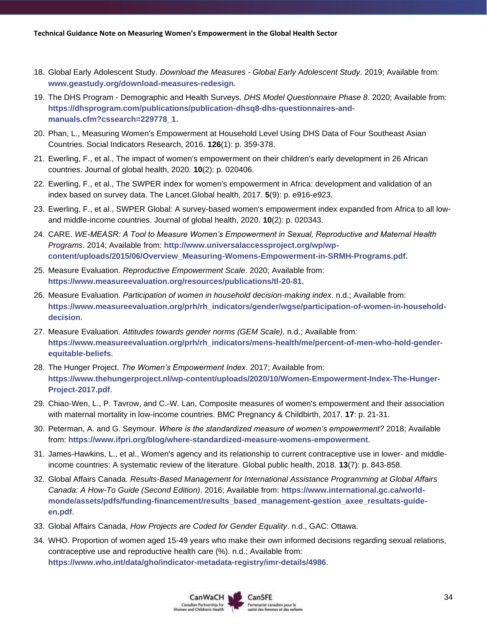- 18. Global Early Adolescent Study. *Download the Measures - Global Early Adolescent Study*. 2019; Available from: **[www.geastudy.org/download-measures-redesign.](http://www.geastudy.org/download-measures-redesign)**
- 19. The DHS Program Demographic and Health Surveys. *DHS Model Questionnaire Phase 8*. 2020; Available from: **[https://dhsprogram.com/publications/publication-dhsq8-dhs-questionnaires-and](https://dhsprogram.com/publications/publication-dhsq8-dhs-questionnaires-and-manuals.cfm?cssearch=229778_1)[manuals.cfm?cssearch=229778\\_1.](https://dhsprogram.com/publications/publication-dhsq8-dhs-questionnaires-and-manuals.cfm?cssearch=229778_1)**
- 20. Phan, L., Measuring Women's Empowerment at Household Level Using DHS Data of Four Southeast Asian Countries. Social Indicators Research, 2016. **126**(1): p. 359-378.
- 21. Ewerling, F., et al., The impact of women's empowerment on their children's early development in 26 African countries. Journal of global health, 2020. **10**(2): p. 020406.
- 22. Ewerling, F., et al., The SWPER index for women's empowerment in Africa: development and validation of an index based on survey data. The Lancet.Global health, 2017. **5**(9): p. e916-e923.
- 23. Ewerling, F., et al., SWPER Global: A survey-based women's empowerment index expanded from Africa to all lowand middle-income countries. Journal of global health, 2020. **10**(2): p. 020343.
- 24. CARE. *WE-MEASR: A Tool to Measure Women's Empowerment in Sexual, Reproductive and Maternal Health Programs*. 2014; Available from: **[http://www.universalaccessproject.org/wp/wp](http://www.universalaccessproject.org/wp/wp-content/uploads/2015/06/Overview_Measuring-Womens-Empowerment-in-SRMH-Programs.pdf)[content/uploads/2015/06/Overview\\_Measuring-Womens-Empowerment-in-SRMH-Programs.pdf.](http://www.universalaccessproject.org/wp/wp-content/uploads/2015/06/Overview_Measuring-Womens-Empowerment-in-SRMH-Programs.pdf)**
- 25. Measure Evaluation. *Reproductive Empowerment Scale*. 2020; Available from: **[https://www.measureevaluation.org/resources/publications/tl-20-81.](https://www.measureevaluation.org/resources/publications/tl-20-81)**
- 26. Measure Evaluation. *Participation of women in household decision-making index*. n.d.; Available from: **[https://www.measureevaluation.org/prh/rh\\_indicators/gender/wgse/participation-of-women-in-household](https://www.measureevaluation.org/prh/rh_indicators/gender/wgse/participation-of-women-in-household-decision)[decision](https://www.measureevaluation.org/prh/rh_indicators/gender/wgse/participation-of-women-in-household-decision)**.
- 27. Measure Evaluation. *Attitudes towards gender norms (GEM Scale)*. n.d.; Available from: **[https://www.measureevaluation.org/prh/rh\\_indicators/mens-health/me/percent-of-men-who-hold-gender](https://www.measureevaluation.org/prh/rh_indicators/mens-health/me/percent-of-men-who-hold-gender-equitable-beliefs)[equitable-beliefs](https://www.measureevaluation.org/prh/rh_indicators/mens-health/me/percent-of-men-who-hold-gender-equitable-beliefs)**.
- 28. The Hunger Project. *The Women's Empowerment Index*. 2017; Available from: **[https://www.thehungerproject.nl/wp-content/uploads/2020/10/Women-Empowerment-Index-The-Hunger-](https://www.thehungerproject.nl/wp-content/uploads/2020/10/Women-Empowerment-Index-The-Hunger-Project-2017.pdf)[Project-2017.pdf](https://www.thehungerproject.nl/wp-content/uploads/2020/10/Women-Empowerment-Index-The-Hunger-Project-2017.pdf)**.
- 29. Chiao-Wen, L., P. Tavrow, and C.-W. Lan, Composite measures of women's empowerment and their association with maternal mortality in low-income countries. BMC Pregnancy & Childbirth, 2017. **17**: p. 21-31.
- 30. Peterman, A. and G. Seymour. *Where is the standardized measure of women's empowerment?* 2018; Available from: **<https://www.ifpri.org/blog/where-standardized-measure-womens-empowerment>**.
- 31. James-Hawkins, L., et al., Women's agency and its relationship to current contraceptive use in lower- and middleincome countries: A systematic review of the literature. Global public health, 2018. **13**(7): p. 843-858.
- 32. Global Affairs Canada. *Results-Based Management for International Assistance Programming at Global Affairs Canada: A How-To Guide (Second Edition)*. 2016; Available from: **[https://www.international.gc.ca/world](https://www.international.gc.ca/world-monde/assets/pdfs/funding-financement/results_based_management-gestion_axee_resultats-guide-en.pdf)[monde/assets/pdfs/funding-financement/results\\_based\\_management-gestion\\_axee\\_resultats-guide](https://www.international.gc.ca/world-monde/assets/pdfs/funding-financement/results_based_management-gestion_axee_resultats-guide-en.pdf)[en.pdf](https://www.international.gc.ca/world-monde/assets/pdfs/funding-financement/results_based_management-gestion_axee_resultats-guide-en.pdf)**.
- 33. Global Affairs Canada, *How Projects are Coded for Gender Equality*. n.d., GAC: Ottawa.
- 34. WHO. Proportion of women aged 15-49 years who make their own informed decisions regarding sexual relations, contraceptive use and reproductive health care (%). n.d.; Available from: **<https://www.who.int/data/gho/indicator-metadata-registry/imr-details/4986>**.

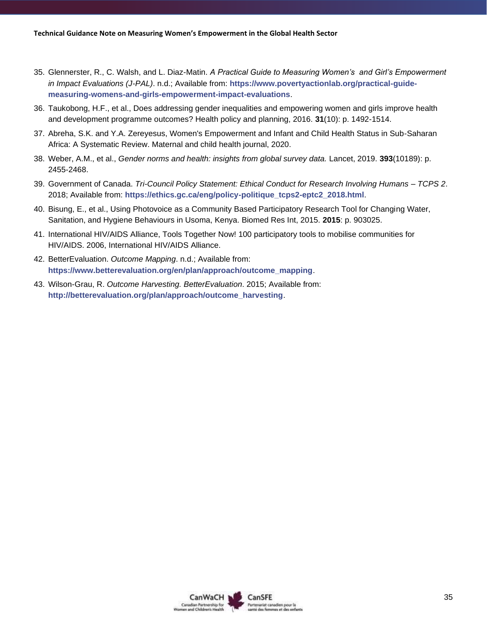- 35. Glennerster, R., C. Walsh, and L. Diaz-Matin. *A Practical Guide to Measuring Women's and Girl's Empowerment in Impact Evaluations (J-PAL)*. n.d.; Available from: **[https://www.povertyactionlab.org/practical-guide](https://www.povertyactionlab.org/practical-guide-measuring-womens-and-girls-empowerment-impact-evaluations)[measuring-womens-and-girls-empowerment-impact-evaluations](https://www.povertyactionlab.org/practical-guide-measuring-womens-and-girls-empowerment-impact-evaluations)**.
- 36. Taukobong, H.F., et al., Does addressing gender inequalities and empowering women and girls improve health and development programme outcomes? Health policy and planning, 2016. **31**(10): p. 1492-1514.
- 37. Abreha, S.K. and Y.A. Zereyesus, Women's Empowerment and Infant and Child Health Status in Sub-Saharan Africa: A Systematic Review. Maternal and child health journal, 2020.
- 38. Weber, A.M., et al., *Gender norms and health: insights from global survey data.* Lancet, 2019. **393**(10189): p. 2455-2468.
- 39. Government of Canada. *Tri-Council Policy Statement: Ethical Conduct for Research Involving Humans – TCPS 2*. 2018; Available from: **[https://ethics.gc.ca/eng/policy-politique\\_tcps2-eptc2\\_2018.html](https://ethics.gc.ca/eng/policy-politique_tcps2-eptc2_2018.html)**.
- 40. Bisung, E., et al., Using Photovoice as a Community Based Participatory Research Tool for Changing Water, Sanitation, and Hygiene Behaviours in Usoma, Kenya. Biomed Res Int, 2015. **2015**: p. 903025.
- 41. International HIV/AIDS Alliance, Tools Together Now! 100 participatory tools to mobilise communities for HIV/AIDS. 2006, International HIV/AIDS Alliance.
- 42. BetterEvaluation. *Outcome Mapping*. n.d.; Available from: **[https://www.betterevaluation.org/en/plan/approach/outcome\\_mapping](https://www.betterevaluation.org/en/plan/approach/outcome_mapping)**.
- 43. Wilson-Grau, R. *Outcome Harvesting. BetterEvaluation*. 2015; Available from: **[http://betterevaluation.org/plan/approach/outcome\\_harvesting](http://betterevaluation.org/plan/approach/outcome_harvesting)**.